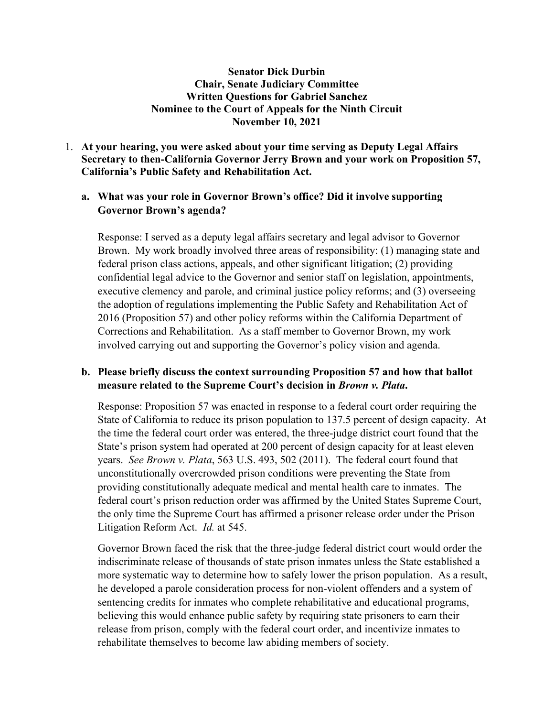### **Senator Dick Durbin Chair, Senate Judiciary Committee Written Questions for Gabriel Sanchez Nominee to the Court of Appeals for the Ninth Circuit November 10, 2021**

1. **At your hearing, you were asked about your time serving as Deputy Legal Affairs Secretary to then-California Governor Jerry Brown and your work on Proposition 57, California's Public Safety and Rehabilitation Act.** 

## **a. What was your role in Governor Brown's office? Did it involve supporting Governor Brown's agenda?**

Response: I served as a deputy legal affairs secretary and legal advisor to Governor Brown. My work broadly involved three areas of responsibility: (1) managing state and federal prison class actions, appeals, and other significant litigation; (2) providing confidential legal advice to the Governor and senior staff on legislation, appointments, executive clemency and parole, and criminal justice policy reforms; and (3) overseeing the adoption of regulations implementing the Public Safety and Rehabilitation Act of 2016 (Proposition 57) and other policy reforms within the California Department of Corrections and Rehabilitation. As a staff member to Governor Brown, my work involved carrying out and supporting the Governor's policy vision and agenda.

# **b. Please briefly discuss the context surrounding Proposition 57 and how that ballot measure related to the Supreme Court's decision in** *Brown v. Plata***.**

Response: Proposition 57 was enacted in response to a federal court order requiring the State of California to reduce its prison population to 137.5 percent of design capacity. At the time the federal court order was entered, the three-judge district court found that the State's prison system had operated at 200 percent of design capacity for at least eleven years. *See Brown v. Plata*, 563 U.S. 493, 502 (2011). The federal court found that unconstitutionally overcrowded prison conditions were preventing the State from providing constitutionally adequate medical and mental health care to inmates. The federal court's prison reduction order was affirmed by the United States Supreme Court, the only time the Supreme Court has affirmed a prisoner release order under the Prison Litigation Reform Act. *Id.* at 545.

Governor Brown faced the risk that the three-judge federal district court would order the indiscriminate release of thousands of state prison inmates unless the State established a more systematic way to determine how to safely lower the prison population. As a result, he developed a parole consideration process for non-violent offenders and a system of sentencing credits for inmates who complete rehabilitative and educational programs, believing this would enhance public safety by requiring state prisoners to earn their release from prison, comply with the federal court order, and incentivize inmates to rehabilitate themselves to become law abiding members of society.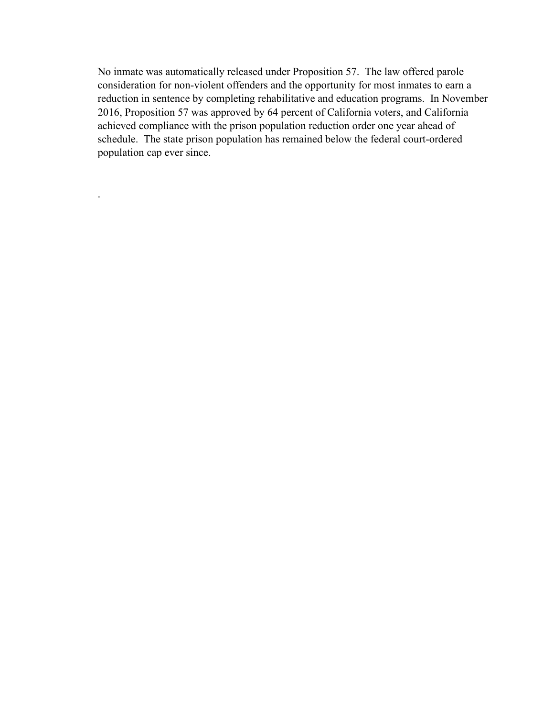No inmate was automatically released under Proposition 57. The law offered parole consideration for non-violent offenders and the opportunity for most inmates to earn a reduction in sentence by completing rehabilitative and education programs. In November 2016, Proposition 57 was approved by 64 percent of California voters, and California achieved compliance with the prison population reduction order one year ahead of schedule. The state prison population has remained below the federal court-ordered population cap ever since.

.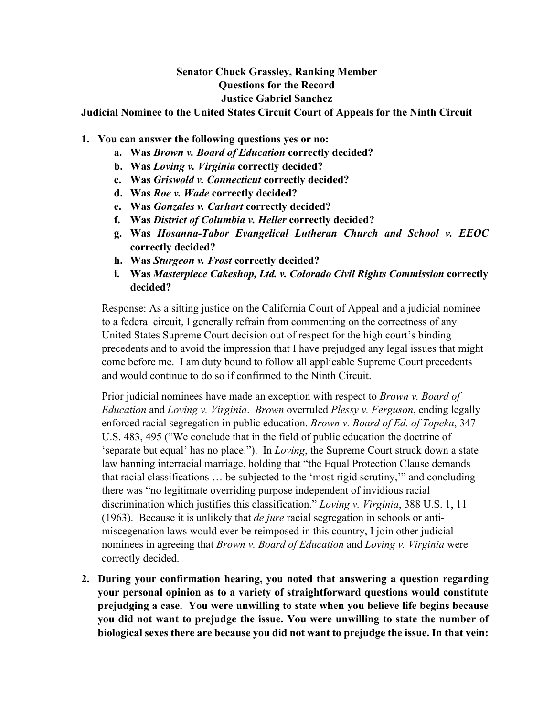# **Senator Chuck Grassley, Ranking Member Questions for the Record Justice Gabriel Sanchez**

**Judicial Nominee to the United States Circuit Court of Appeals for the Ninth Circuit**

### **1. You can answer the following questions yes or no:**

- **a. Was** *Brown v. Board of Education* **correctly decided?**
- **b. Was** *Loving v. Virginia* **correctly decided?**
- **c. Was** *Griswold v. Connecticut* **correctly decided?**
- **d. Was** *Roe v. Wade* **correctly decided?**
- **e. Was** *Gonzales v. Carhart* **correctly decided?**
- **f. Was** *District of Columbia v. Heller* **correctly decided?**
- **g. Was** *Hosanna-Tabor Evangelical Lutheran Church and School v. EEOC*  **correctly decided?**
- **h. Was** *Sturgeon v. Frost* **correctly decided?**
- **i. Was** *Masterpiece Cakeshop, Ltd. v. Colorado Civil Rights Commission* **correctly decided?**

Response: As a sitting justice on the California Court of Appeal and a judicial nominee to a federal circuit, I generally refrain from commenting on the correctness of any United States Supreme Court decision out of respect for the high court's binding precedents and to avoid the impression that I have prejudged any legal issues that might come before me. I am duty bound to follow all applicable Supreme Court precedents and would continue to do so if confirmed to the Ninth Circuit.

Prior judicial nominees have made an exception with respect to *Brown v. Board of Education* and *Loving v. Virginia*. *Brown* overruled *Plessy v. Ferguson*, ending legally enforced racial segregation in public education. *Brown v. Board of Ed. of Topeka*, 347 U.S. 483, 495 ("We conclude that in the field of public education the doctrine of 'separate but equal' has no place."). In *Loving*, the Supreme Court struck down a state law banning interracial marriage, holding that "the Equal Protection Clause demands that racial classifications … be subjected to the 'most rigid scrutiny,'" and concluding there was "no legitimate overriding purpose independent of invidious racial discrimination which justifies this classification." *Loving v. Virginia*, 388 U.S. 1, 11 (1963). Because it is unlikely that *de jure* racial segregation in schools or antimiscegenation laws would ever be reimposed in this country, I join other judicial nominees in agreeing that *Brown v. Board of Education* and *Loving v. Virginia* were correctly decided.

**2. During your confirmation hearing, you noted that answering a question regarding your personal opinion as to a variety of straightforward questions would constitute prejudging a case. You were unwilling to state when you believe life begins because you did not want to prejudge the issue. You were unwilling to state the number of biological sexes there are because you did not want to prejudge the issue. In that vein:**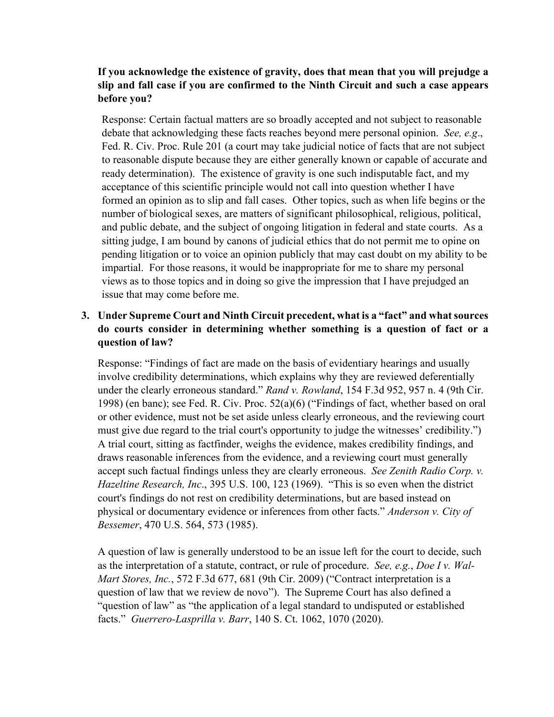# **If you acknowledge the existence of gravity, does that mean that you will prejudge a slip and fall case if you are confirmed to the Ninth Circuit and such a case appears before you?**

Response: Certain factual matters are so broadly accepted and not subject to reasonable debate that acknowledging these facts reaches beyond mere personal opinion. *See, e.g*., Fed. R. Civ. Proc. Rule 201 (a court may take judicial notice of facts that are not subject to reasonable dispute because they are either generally known or capable of accurate and ready determination). The existence of gravity is one such indisputable fact, and my acceptance of this scientific principle would not call into question whether I have formed an opinion as to slip and fall cases. Other topics, such as when life begins or the number of biological sexes, are matters of significant philosophical, religious, political, and public debate, and the subject of ongoing litigation in federal and state courts. As a sitting judge, I am bound by canons of judicial ethics that do not permit me to opine on pending litigation or to voice an opinion publicly that may cast doubt on my ability to be impartial. For those reasons, it would be inappropriate for me to share my personal views as to those topics and in doing so give the impression that I have prejudged an issue that may come before me.

# **3. Under Supreme Court and Ninth Circuit precedent, what is a "fact" and what sources do courts consider in determining whether something is a question of fact or a question of law?**

Response: "Findings of fact are made on the basis of evidentiary hearings and usually involve credibility determinations, which explains why they are reviewed deferentially under the clearly erroneous standard." *Rand v. Rowland*, 154 F.3d 952, 957 n. 4 (9th Cir. 1998) (en banc); see Fed. R. Civ. Proc. 52(a)(6) ("Findings of fact, whether based on oral or other evidence, must not be set aside unless clearly erroneous, and the reviewing court must give due regard to the trial court's opportunity to judge the witnesses' credibility.") A trial court, sitting as factfinder, weighs the evidence, makes credibility findings, and draws reasonable inferences from the evidence, and a reviewing court must generally accept such factual findings unless they are clearly erroneous. *See Zenith Radio Corp. v. Hazeltine Research, Inc*., 395 U.S. 100, 123 (1969). "This is so even when the district court's findings do not rest on credibility determinations, but are based instead on physical or documentary evidence or inferences from other facts." *Anderson v. City of Bessemer*, 470 U.S. 564, 573 (1985).

A question of law is generally understood to be an issue left for the court to decide, such as the interpretation of a statute, contract, or rule of procedure. *See, e.g.*, *Doe I v. Wal-Mart Stores, Inc.*, 572 F.3d 677, 681 (9th Cir. 2009) ("Contract interpretation is a question of law that we review de novo"). The Supreme Court has also defined a "question of law" as "the application of a legal standard to undisputed or established facts." *Guerrero-Lasprilla v. Barr*, 140 S. Ct. 1062, 1070 (2020).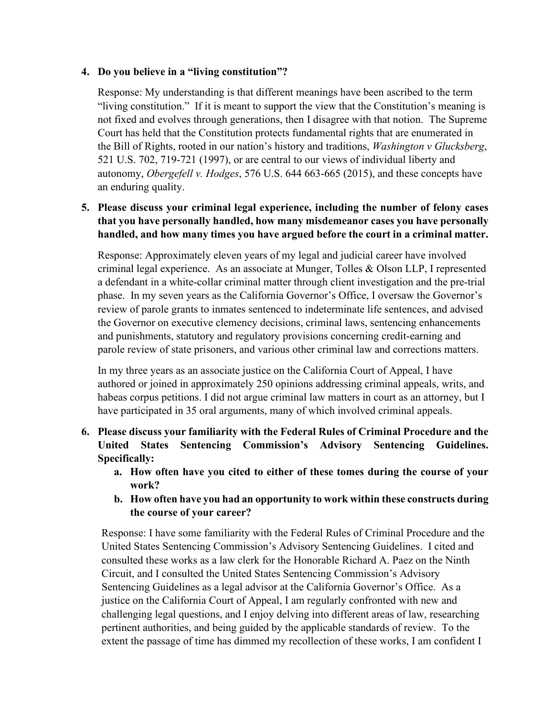### **4. Do you believe in a "living constitution"?**

Response: My understanding is that different meanings have been ascribed to the term "living constitution." If it is meant to support the view that the Constitution's meaning is not fixed and evolves through generations, then I disagree with that notion. The Supreme Court has held that the Constitution protects fundamental rights that are enumerated in the Bill of Rights, rooted in our nation's history and traditions, *Washington v Glucksberg*, 521 U.S. 702, 719-721 (1997), or are central to our views of individual liberty and autonomy, *Obergefell v. Hodges*, 576 U.S. 644 663-665 (2015), and these concepts have an enduring quality.

# **5. Please discuss your criminal legal experience, including the number of felony cases that you have personally handled, how many misdemeanor cases you have personally handled, and how many times you have argued before the court in a criminal matter.**

Response: Approximately eleven years of my legal and judicial career have involved criminal legal experience. As an associate at Munger, Tolles & Olson LLP, I represented a defendant in a white-collar criminal matter through client investigation and the pre-trial phase. In my seven years as the California Governor's Office, I oversaw the Governor's review of parole grants to inmates sentenced to indeterminate life sentences, and advised the Governor on executive clemency decisions, criminal laws, sentencing enhancements and punishments, statutory and regulatory provisions concerning credit-earning and parole review of state prisoners, and various other criminal law and corrections matters.

In my three years as an associate justice on the California Court of Appeal, I have authored or joined in approximately 250 opinions addressing criminal appeals, writs, and habeas corpus petitions. I did not argue criminal law matters in court as an attorney, but I have participated in 35 oral arguments, many of which involved criminal appeals.

- **6. Please discuss your familiarity with the Federal Rules of Criminal Procedure and the United States Sentencing Commission's Advisory Sentencing Guidelines. Specifically:**
	- **a. How often have you cited to either of these tomes during the course of your work?**
	- **b. How often have you had an opportunity to work within these constructs during the course of your career?**

Response: I have some familiarity with the Federal Rules of Criminal Procedure and the United States Sentencing Commission's Advisory Sentencing Guidelines. I cited and consulted these works as a law clerk for the Honorable Richard A. Paez on the Ninth Circuit, and I consulted the United States Sentencing Commission's Advisory Sentencing Guidelines as a legal advisor at the California Governor's Office. As a justice on the California Court of Appeal, I am regularly confronted with new and challenging legal questions, and I enjoy delving into different areas of law, researching pertinent authorities, and being guided by the applicable standards of review. To the extent the passage of time has dimmed my recollection of these works, I am confident I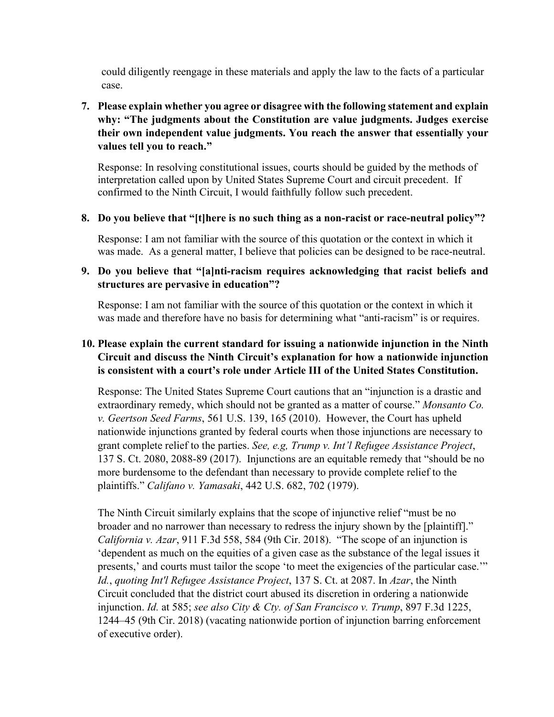could diligently reengage in these materials and apply the law to the facts of a particular case.

# **7. Please explain whether you agree or disagree with the following statement and explain why: "The judgments about the Constitution are value judgments. Judges exercise their own independent value judgments. You reach the answer that essentially your values tell you to reach."**

Response: In resolving constitutional issues, courts should be guided by the methods of interpretation called upon by United States Supreme Court and circuit precedent. If confirmed to the Ninth Circuit, I would faithfully follow such precedent.

### **8. Do you believe that "[t]here is no such thing as a non-racist or race-neutral policy"?**

Response: I am not familiar with the source of this quotation or the context in which it was made. As a general matter, I believe that policies can be designed to be race-neutral.

# **9. Do you believe that "[a]nti-racism requires acknowledging that racist beliefs and structures are pervasive in education"?**

Response: I am not familiar with the source of this quotation or the context in which it was made and therefore have no basis for determining what "anti-racism" is or requires.

# **10. Please explain the current standard for issuing a nationwide injunction in the Ninth Circuit and discuss the Ninth Circuit's explanation for how a nationwide injunction is consistent with a court's role under Article III of the United States Constitution.**

Response: The United States Supreme Court cautions that an "injunction is a drastic and extraordinary remedy, which should not be granted as a matter of course." *Monsanto Co. v. Geertson Seed Farms*, 561 U.S. 139, 165 (2010). However, the Court has upheld nationwide injunctions granted by federal courts when those injunctions are necessary to grant complete relief to the parties. *See, e.g, Trump v. Int'l Refugee Assistance Project*, 137 S. Ct. 2080, 2088-89 (2017). Injunctions are an equitable remedy that "should be no more burdensome to the defendant than necessary to provide complete relief to the plaintiffs." *Califano v. Yamasaki*, 442 U.S. 682, 702 (1979).

The Ninth Circuit similarly explains that the scope of injunctive relief "must be no broader and no narrower than necessary to redress the injury shown by the [plaintiff]." *California v. Azar*, 911 F.3d 558, 584 (9th Cir. 2018). "The scope of an injunction is 'dependent as much on the equities of a given case as the substance of the legal issues it presents,' and courts must tailor the scope 'to meet the exigencies of the particular case.'" *Id.*, *quoting Int'l Refugee Assistance Project*, 137 S. Ct. at 2087. In *Azar*, the Ninth Circuit concluded that the district court abused its discretion in ordering a nationwide injunction. *Id.* at 585; *see also City & Cty. of San Francisco v. Trump*, 897 F.3d 1225, 1244–45 (9th Cir. 2018) (vacating nationwide portion of injunction barring enforcement of executive order).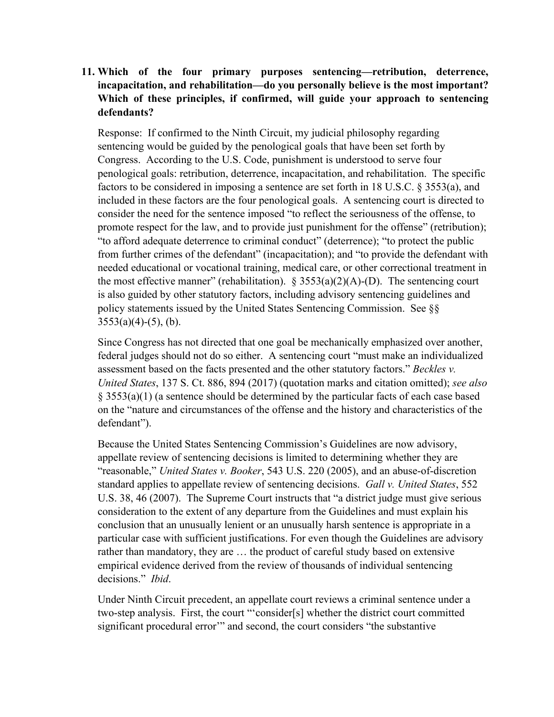# **11. Which of the four primary purposes sentencing—retribution, deterrence, incapacitation, and rehabilitation—do you personally believe is the most important? Which of these principles, if confirmed, will guide your approach to sentencing defendants?**

Response: If confirmed to the Ninth Circuit, my judicial philosophy regarding sentencing would be guided by the penological goals that have been set forth by Congress. According to the U.S. Code, punishment is understood to serve four penological goals: retribution, deterrence, incapacitation, and rehabilitation. The specific factors to be considered in imposing a sentence are set forth in 18 U.S.C. § 3553(a), and included in these factors are the four penological goals. A sentencing court is directed to consider the need for the sentence imposed "to reflect the seriousness of the offense, to promote respect for the law, and to provide just punishment for the offense" (retribution); "to afford adequate deterrence to criminal conduct" (deterrence); "to protect the public from further crimes of the defendant" (incapacitation); and "to provide the defendant with needed educational or vocational training, medical care, or other correctional treatment in the most effective manner" (rehabilitation).  $\S 3553(a)(2)(A)$ -(D). The sentencing court is also guided by other statutory factors, including advisory sentencing guidelines and policy statements issued by the United States Sentencing Commission. See §§  $3553(a)(4)-(5)$ , (b).

Since Congress has not directed that one goal be mechanically emphasized over another, federal judges should not do so either. A sentencing court "must make an individualized assessment based on the facts presented and the other statutory factors." *Beckles v. United States*, 137 S. Ct. 886, 894 (2017) (quotation marks and citation omitted); *see also* § 3553(a)(1) (a sentence should be determined by the particular facts of each case based on the "nature and circumstances of the offense and the history and characteristics of the defendant").

Because the United States Sentencing Commission's Guidelines are now advisory, appellate review of sentencing decisions is limited to determining whether they are "reasonable," *United States v. Booker*, 543 U.S. 220 (2005), and an abuse-of-discretion standard applies to appellate review of sentencing decisions. *Gall v. United States*, 552 U.S. 38, 46 (2007). The Supreme Court instructs that "a district judge must give serious consideration to the extent of any departure from the Guidelines and must explain his conclusion that an unusually lenient or an unusually harsh sentence is appropriate in a particular case with sufficient justifications. For even though the Guidelines are advisory rather than mandatory, they are … the product of careful study based on extensive empirical evidence derived from the review of thousands of individual sentencing decisions." *Ibid*.

Under Ninth Circuit precedent, an appellate court reviews a criminal sentence under a two-step analysis. First, the court "'consider[s] whether the district court committed significant procedural error'" and second, the court considers "the substantive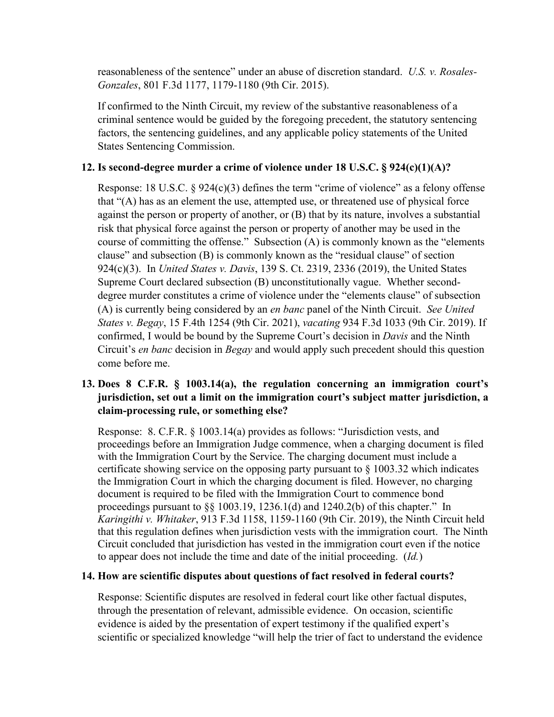reasonableness of the sentence" under an abuse of discretion standard. *U.S. v. Rosales-Gonzales*, 801 F.3d 1177, 1179-1180 (9th Cir. 2015).

If confirmed to the Ninth Circuit, my review of the substantive reasonableness of a criminal sentence would be guided by the foregoing precedent, the statutory sentencing factors, the sentencing guidelines, and any applicable policy statements of the United States Sentencing Commission.

# **12. Is second-degree murder a crime of violence under 18 U.S.C. § 924(c)(1)(A)?**

Response: 18 U.S.C.  $\S 924(c)(3)$  defines the term "crime of violence" as a felony offense that "(A) has as an element the use, attempted use, or threatened use of physical force against the person or property of another, or (B) that by its nature, involves a substantial risk that physical force against the person or property of another may be used in the course of committing the offense." Subsection (A) is commonly known as the "elements clause" and subsection (B) is commonly known as the "residual clause" of section 924(c)(3). In *United States v. Davis*, 139 S. Ct. 2319, 2336 (2019), the United States Supreme Court declared subsection (B) unconstitutionally vague. Whether seconddegree murder constitutes a crime of violence under the "elements clause" of subsection (A) is currently being considered by an *en banc* panel of the Ninth Circuit. *See United States v. Begay*, 15 F.4th 1254 (9th Cir. 2021), *vacating* 934 F.3d 1033 (9th Cir. 2019). If confirmed, I would be bound by the Supreme Court's decision in *Davis* and the Ninth Circuit's *en banc* decision in *Begay* and would apply such precedent should this question come before me.

# **13. Does 8 C.F.R. § 1003.14(a), the regulation concerning an immigration court's jurisdiction, set out a limit on the immigration court's subject matter jurisdiction, a claim-processing rule, or something else?**

Response: 8. C.F.R. § 1003.14(a) provides as follows: "Jurisdiction vests, and proceedings before an Immigration Judge commence, when a charging document is filed with the Immigration Court by the Service. The charging document must include a certificate showing service on the opposing party pursuant to  $\S 1003.32$  which indicates the Immigration Court in which the charging document is filed. However, no charging document is required to be filed with the Immigration Court to commence bond proceedings pursuant to  $\S$ § 1003.19, 1236.1(d) and 1240.2(b) of this chapter." In *Karingithi v. Whitaker*, 913 F.3d 1158, 1159-1160 (9th Cir. 2019), the Ninth Circuit held that this regulation defines when jurisdiction vests with the immigration court. The Ninth Circuit concluded that jurisdiction has vested in the immigration court even if the notice to appear does not include the time and date of the initial proceeding. (*Id.*)

# **14. How are scientific disputes about questions of fact resolved in federal courts?**

Response: Scientific disputes are resolved in federal court like other factual disputes, through the presentation of relevant, admissible evidence. On occasion, scientific evidence is aided by the presentation of expert testimony if the qualified expert's scientific or specialized knowledge "will help the trier of fact to understand the evidence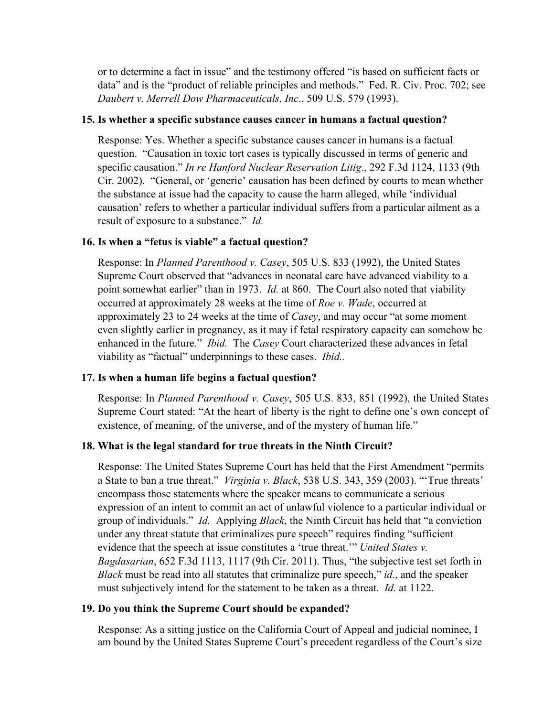or to determine a fact in issue" and the testimony offered "is based on sufficient facts or data" and is the "product of reliable principles and methods." Fed. R. Civ. Proc. 702; see *Daubert v. Merrell Dow Pharmaceuticals, Inc*., 509 U.S. 579 (1993).

#### **15. Is whether a specific substance causes cancer in humans a factual question?**

Response: Yes. Whether a specific substance causes cancer in humans is a factual question. "Causation in toxic tort cases is typically discussed in terms of generic and specific causation." *In re Hanford Nuclear Reservation Litig*., 292 F.3d 1124, 1133 (9th Cir. 2002). "General, or 'generic' causation has been defined by courts to mean whether the substance at issue had the capacity to cause the harm alleged, while 'individual causation' refers to whether a particular individual suffers from a particular ailment as a result of exposure to a substance." *Id.*

#### **16. Is when a "fetus is viable" a factual question?**

Response: In *Planned Parenthood v. Casey*, 505 U.S. 833 (1992), the United States Supreme Court observed that "advances in neonatal care have advanced viability to a point somewhat earlier" than in 1973. *Id.* at 860. The Court also noted that viability occurred at approximately 28 weeks at the time of *Roe v. Wade*, occurred at approximately 23 to 24 weeks at the time of *Casey*, and may occur "at some moment even slightly earlier in pregnancy, as it may if fetal respiratory capacity can somehow be enhanced in the future." *Ibid.* The *Casey* Court characterized these advances in fetal viability as "factual" underpinnings to these cases. *Ibid..*

#### **17. Is when a human life begins a factual question?**

Response: In *Planned Parenthood v. Casey*, 505 U.S. 833, 851 (1992), the United States Supreme Court stated: "At the heart of liberty is the right to define one's own concept of existence, of meaning, of the universe, and of the mystery of human life."

#### **18. What is the legal standard for true threats in the Ninth Circuit?**

Response: The United States Supreme Court has held that the First Amendment "permits a State to ban a true threat." *Virginia v. Black*, 538 U.S. 343, 359 (2003). "'True threats' encompass those statements where the speaker means to communicate a serious expression of an intent to commit an act of unlawful violence to a particular individual or group of individuals." *Id.* Applying *Black*, the Ninth Circuit has held that "a conviction under any threat statute that criminalizes pure speech" requires finding "sufficient evidence that the speech at issue constitutes a 'true threat.'" *United States v. Bagdasarian*, 652 F.3d 1113, 1117 (9th Cir. 2011). Thus, "the subjective test set forth in *Black* must be read into all statutes that criminalize pure speech," *id.*, and the speaker must subjectively intend for the statement to be taken as a threat. *Id.* at 1122.

#### **19. Do you think the Supreme Court should be expanded?**

Response: As a sitting justice on the California Court of Appeal and judicial nominee, I am bound by the United States Supreme Court's precedent regardless of the Court's size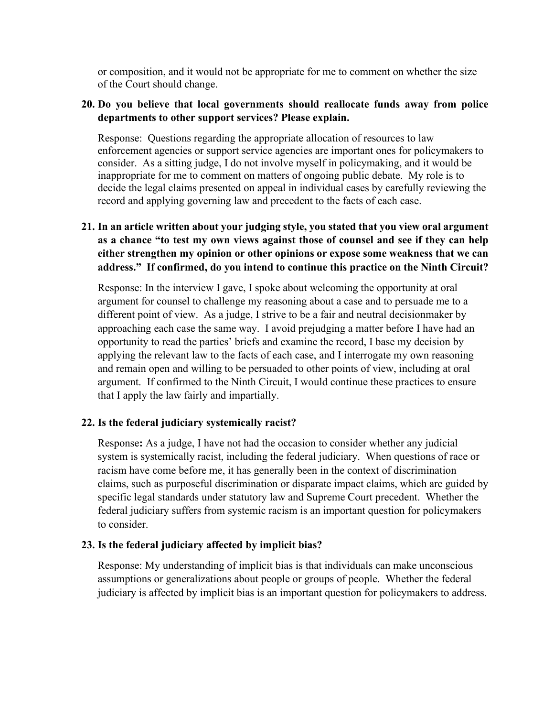or composition, and it would not be appropriate for me to comment on whether the size of the Court should change.

## **20. Do you believe that local governments should reallocate funds away from police departments to other support services? Please explain.**

Response: Questions regarding the appropriate allocation of resources to law enforcement agencies or support service agencies are important ones for policymakers to consider. As a sitting judge, I do not involve myself in policymaking, and it would be inappropriate for me to comment on matters of ongoing public debate. My role is to decide the legal claims presented on appeal in individual cases by carefully reviewing the record and applying governing law and precedent to the facts of each case.

# **21. In an article written about your judging style, you stated that you view oral argument as a chance "to test my own views against those of counsel and see if they can help either strengthen my opinion or other opinions or expose some weakness that we can address." If confirmed, do you intend to continue this practice on the Ninth Circuit?**

Response: In the interview I gave, I spoke about welcoming the opportunity at oral argument for counsel to challenge my reasoning about a case and to persuade me to a different point of view. As a judge, I strive to be a fair and neutral decisionmaker by approaching each case the same way. I avoid prejudging a matter before I have had an opportunity to read the parties' briefs and examine the record, I base my decision by applying the relevant law to the facts of each case, and I interrogate my own reasoning and remain open and willing to be persuaded to other points of view, including at oral argument. If confirmed to the Ninth Circuit, I would continue these practices to ensure that I apply the law fairly and impartially.

# **22. Is the federal judiciary systemically racist?**

Response**:** As a judge, I have not had the occasion to consider whether any judicial system is systemically racist, including the federal judiciary. When questions of race or racism have come before me, it has generally been in the context of discrimination claims, such as purposeful discrimination or disparate impact claims, which are guided by specific legal standards under statutory law and Supreme Court precedent. Whether the federal judiciary suffers from systemic racism is an important question for policymakers to consider.

# **23. Is the federal judiciary affected by implicit bias?**

Response: My understanding of implicit bias is that individuals can make unconscious assumptions or generalizations about people or groups of people. Whether the federal judiciary is affected by implicit bias is an important question for policymakers to address.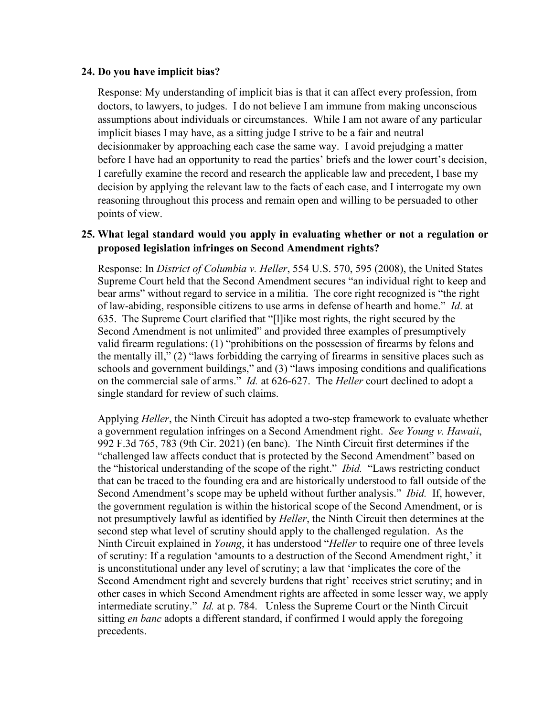### **24. Do you have implicit bias?**

Response: My understanding of implicit bias is that it can affect every profession, from doctors, to lawyers, to judges. I do not believe I am immune from making unconscious assumptions about individuals or circumstances. While I am not aware of any particular implicit biases I may have, as a sitting judge I strive to be a fair and neutral decisionmaker by approaching each case the same way. I avoid prejudging a matter before I have had an opportunity to read the parties' briefs and the lower court's decision, I carefully examine the record and research the applicable law and precedent, I base my decision by applying the relevant law to the facts of each case, and I interrogate my own reasoning throughout this process and remain open and willing to be persuaded to other points of view.

### **25. What legal standard would you apply in evaluating whether or not a regulation or proposed legislation infringes on Second Amendment rights?**

Response: In *District of Columbia v. Heller*, 554 U.S. 570, 595 (2008), the United States Supreme Court held that the Second Amendment secures "an individual right to keep and bear arms" without regard to service in a militia. The core right recognized is "the right of law-abiding, responsible citizens to use arms in defense of hearth and home." *Id*. at 635. The Supreme Court clarified that "[l]ike most rights, the right secured by the Second Amendment is not unlimited" and provided three examples of presumptively valid firearm regulations: (1) "prohibitions on the possession of firearms by felons and the mentally ill," (2) "laws forbidding the carrying of firearms in sensitive places such as schools and government buildings," and (3) "laws imposing conditions and qualifications on the commercial sale of arms." *Id.* at 626-627. The *Heller* court declined to adopt a single standard for review of such claims.

Applying *Heller*, the Ninth Circuit has adopted a two-step framework to evaluate whether a government regulation infringes on a Second Amendment right. *See Young v. Hawaii*, 992 F.3d 765, 783 (9th Cir. 2021) (en banc). The Ninth Circuit first determines if the "challenged law affects conduct that is protected by the Second Amendment" based on the "historical understanding of the scope of the right." *Ibid.* "Laws restricting conduct that can be traced to the founding era and are historically understood to fall outside of the Second Amendment's scope may be upheld without further analysis." *Ibid.* If, however, the government regulation is within the historical scope of the Second Amendment, or is not presumptively lawful as identified by *Heller*, the Ninth Circuit then determines at the second step what level of scrutiny should apply to the challenged regulation. As the Ninth Circuit explained in *Young*, it has understood "*Heller* to require one of three levels of scrutiny: If a regulation 'amounts to a destruction of the Second Amendment right,' it is unconstitutional under any level of scrutiny; a law that 'implicates the core of the Second Amendment right and severely burdens that right' receives strict scrutiny; and in other cases in which Second Amendment rights are affected in some lesser way, we apply intermediate scrutiny." *Id.* at p. 784. Unless the Supreme Court or the Ninth Circuit sitting *en banc* adopts a different standard, if confirmed I would apply the foregoing precedents.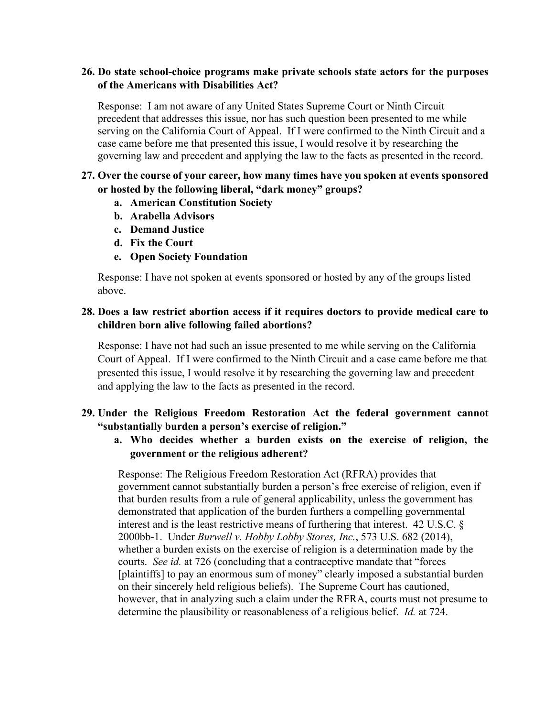## **26. Do state school-choice programs make private schools state actors for the purposes of the Americans with Disabilities Act?**

Response: I am not aware of any United States Supreme Court or Ninth Circuit precedent that addresses this issue, nor has such question been presented to me while serving on the California Court of Appeal. If I were confirmed to the Ninth Circuit and a case came before me that presented this issue, I would resolve it by researching the governing law and precedent and applying the law to the facts as presented in the record.

# **27. Over the course of your career, how many times have you spoken at events sponsored or hosted by the following liberal, "dark money" groups?**

- **a. American Constitution Society**
- **b. Arabella Advisors**
- **c. Demand Justice**
- **d. Fix the Court**
- **e. Open Society Foundation**

Response: I have not spoken at events sponsored or hosted by any of the groups listed above.

## **28. Does a law restrict abortion access if it requires doctors to provide medical care to children born alive following failed abortions?**

Response: I have not had such an issue presented to me while serving on the California Court of Appeal. If I were confirmed to the Ninth Circuit and a case came before me that presented this issue, I would resolve it by researching the governing law and precedent and applying the law to the facts as presented in the record.

### **29. Under the Religious Freedom Restoration Act the federal government cannot "substantially burden a person's exercise of religion."**

**a. Who decides whether a burden exists on the exercise of religion, the government or the religious adherent?**

Response: The Religious Freedom Restoration Act (RFRA) provides that government cannot substantially burden a person's free exercise of religion, even if that burden results from a rule of general applicability, unless the government has demonstrated that application of the burden furthers a compelling governmental interest and is the least restrictive means of furthering that interest. 42 U.S.C. § 2000bb-1. Under *Burwell v. Hobby Lobby Stores, Inc.*, 573 U.S. 682 (2014), whether a burden exists on the exercise of religion is a determination made by the courts. *See id.* at 726 (concluding that a contraceptive mandate that "forces [plaintiffs] to pay an enormous sum of money" clearly imposed a substantial burden on their sincerely held religious beliefs). The Supreme Court has cautioned, however, that in analyzing such a claim under the RFRA, courts must not presume to determine the plausibility or reasonableness of a religious belief. *Id.* at 724.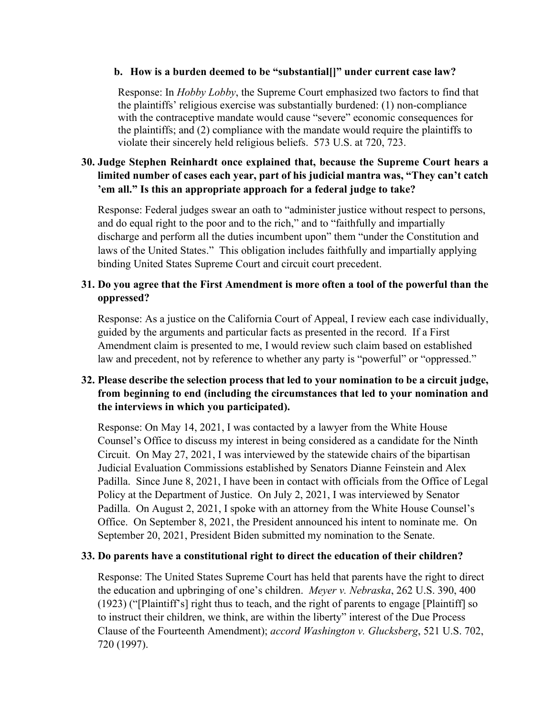### **b. How is a burden deemed to be "substantial[]" under current case law?**

Response: In *Hobby Lobby*, the Supreme Court emphasized two factors to find that the plaintiffs' religious exercise was substantially burdened: (1) non-compliance with the contraceptive mandate would cause "severe" economic consequences for the plaintiffs; and (2) compliance with the mandate would require the plaintiffs to violate their sincerely held religious beliefs. 573 U.S. at 720, 723.

# **30. Judge Stephen Reinhardt once explained that, because the Supreme Court hears a limited number of cases each year, part of his judicial mantra was, "They can't catch 'em all." Is this an appropriate approach for a federal judge to take?**

Response: Federal judges swear an oath to "administer justice without respect to persons, and do equal right to the poor and to the rich," and to "faithfully and impartially discharge and perform all the duties incumbent upon" them "under the Constitution and laws of the United States." This obligation includes faithfully and impartially applying binding United States Supreme Court and circuit court precedent.

# **31. Do you agree that the First Amendment is more often a tool of the powerful than the oppressed?**

Response: As a justice on the California Court of Appeal, I review each case individually, guided by the arguments and particular facts as presented in the record. If a First Amendment claim is presented to me, I would review such claim based on established law and precedent, not by reference to whether any party is "powerful" or "oppressed."

# **32. Please describe the selection process that led to your nomination to be a circuit judge, from beginning to end (including the circumstances that led to your nomination and the interviews in which you participated).**

Response: On May 14, 2021, I was contacted by a lawyer from the White House Counsel's Office to discuss my interest in being considered as a candidate for the Ninth Circuit. On May 27, 2021, I was interviewed by the statewide chairs of the bipartisan Judicial Evaluation Commissions established by Senators Dianne Feinstein and Alex Padilla. Since June 8, 2021, I have been in contact with officials from the Office of Legal Policy at the Department of Justice. On July 2, 2021, I was interviewed by Senator Padilla. On August 2, 2021, I spoke with an attorney from the White House Counsel's Office. On September 8, 2021, the President announced his intent to nominate me. On September 20, 2021, President Biden submitted my nomination to the Senate.

# **33. Do parents have a constitutional right to direct the education of their children?**

Response: The United States Supreme Court has held that parents have the right to direct the education and upbringing of one's children. *Meyer v. Nebraska*, 262 U.S. 390, 400 (1923) ("[Plaintiff's] right thus to teach, and the right of parents to engage [Plaintiff] so to instruct their children, we think, are within the liberty" interest of the Due Process Clause of the Fourteenth Amendment); *accord Washington v. Glucksberg*, 521 U.S. 702, 720 (1997).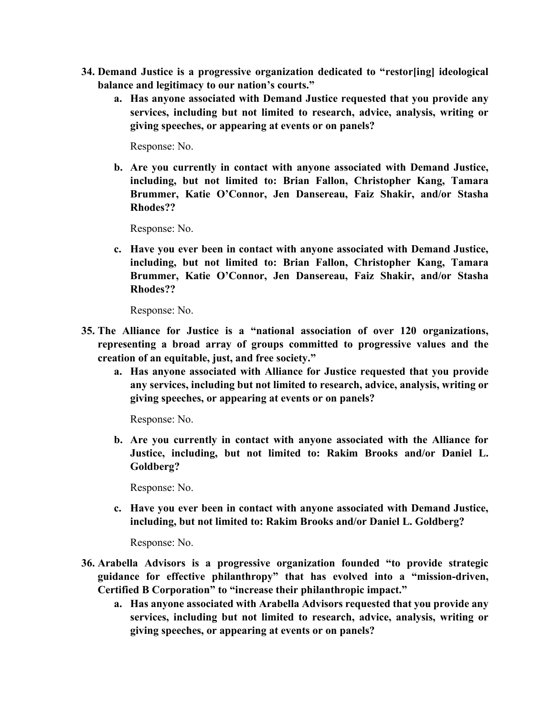- **34. Demand Justice is a progressive organization dedicated to "restor[ing] ideological balance and legitimacy to our nation's courts."**
	- **a. Has anyone associated with Demand Justice requested that you provide any services, including but not limited to research, advice, analysis, writing or giving speeches, or appearing at events or on panels?**

Response: No.

**b. Are you currently in contact with anyone associated with Demand Justice, including, but not limited to: Brian Fallon, Christopher Kang, Tamara Brummer, Katie O'Connor, Jen Dansereau, Faiz Shakir, and/or Stasha Rhodes??**

Response: No.

**c. Have you ever been in contact with anyone associated with Demand Justice, including, but not limited to: Brian Fallon, Christopher Kang, Tamara Brummer, Katie O'Connor, Jen Dansereau, Faiz Shakir, and/or Stasha Rhodes??**

Response: No.

- **35. The Alliance for Justice is a "national association of over 120 organizations, representing a broad array of groups committed to progressive values and the creation of an equitable, just, and free society."** 
	- **a. Has anyone associated with Alliance for Justice requested that you provide any services, including but not limited to research, advice, analysis, writing or giving speeches, or appearing at events or on panels?**

Response: No.

**b. Are you currently in contact with anyone associated with the Alliance for Justice, including, but not limited to: Rakim Brooks and/or Daniel L. Goldberg?**

Response: No.

**c. Have you ever been in contact with anyone associated with Demand Justice, including, but not limited to: Rakim Brooks and/or Daniel L. Goldberg?**

Response: No.

- **36. Arabella Advisors is a progressive organization founded "to provide strategic guidance for effective philanthropy" that has evolved into a "mission-driven, Certified B Corporation" to "increase their philanthropic impact."** 
	- **a. Has anyone associated with Arabella Advisors requested that you provide any services, including but not limited to research, advice, analysis, writing or giving speeches, or appearing at events or on panels?**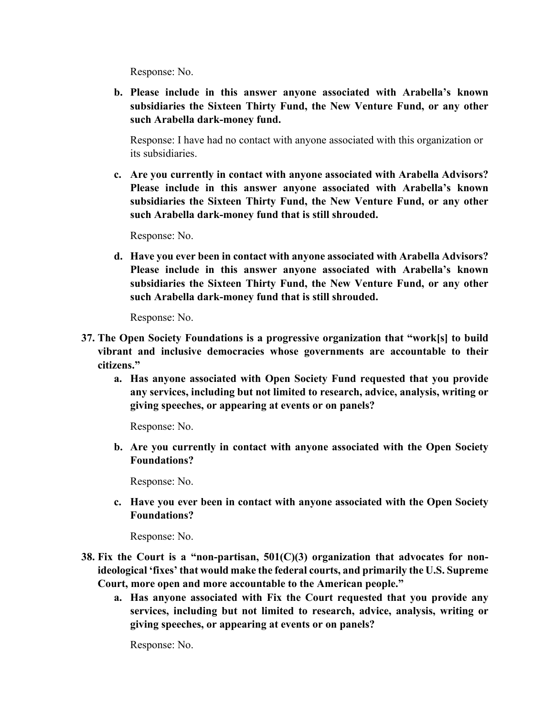Response: No.

**b. Please include in this answer anyone associated with Arabella's known subsidiaries the Sixteen Thirty Fund, the New Venture Fund, or any other such Arabella dark-money fund.**

Response: I have had no contact with anyone associated with this organization or its subsidiaries.

**c. Are you currently in contact with anyone associated with Arabella Advisors? Please include in this answer anyone associated with Arabella's known subsidiaries the Sixteen Thirty Fund, the New Venture Fund, or any other such Arabella dark-money fund that is still shrouded.**

Response: No.

**d. Have you ever been in contact with anyone associated with Arabella Advisors? Please include in this answer anyone associated with Arabella's known subsidiaries the Sixteen Thirty Fund, the New Venture Fund, or any other such Arabella dark-money fund that is still shrouded.**

Response: No.

- **37. The Open Society Foundations is a progressive organization that "work[s] to build vibrant and inclusive democracies whose governments are accountable to their citizens."**
	- **a. Has anyone associated with Open Society Fund requested that you provide any services, including but not limited to research, advice, analysis, writing or giving speeches, or appearing at events or on panels?**

Response: No.

**b. Are you currently in contact with anyone associated with the Open Society Foundations?**

Response: No.

**c. Have you ever been in contact with anyone associated with the Open Society Foundations?**

Response: No.

- **38. Fix the Court is a "non-partisan, 501(C)(3) organization that advocates for nonideological 'fixes' that would make the federal courts, and primarily the U.S. Supreme Court, more open and more accountable to the American people."**
	- **a. Has anyone associated with Fix the Court requested that you provide any services, including but not limited to research, advice, analysis, writing or giving speeches, or appearing at events or on panels?**

Response: No.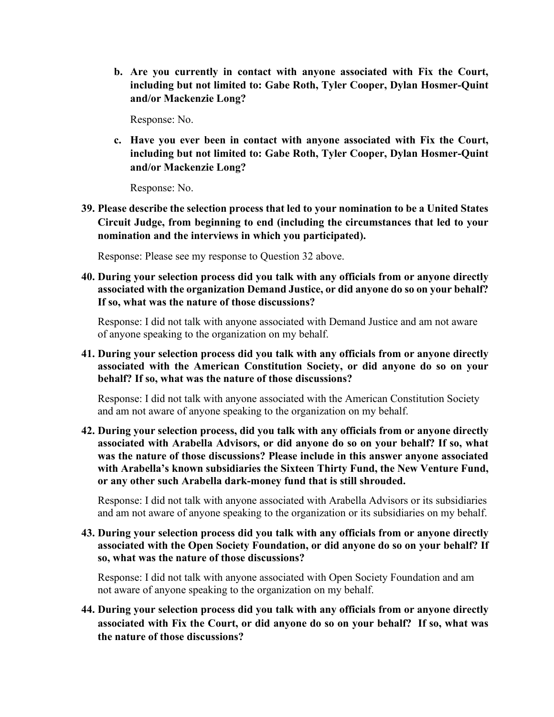**b. Are you currently in contact with anyone associated with Fix the Court, including but not limited to: Gabe Roth, Tyler Cooper, Dylan Hosmer-Quint and/or Mackenzie Long?**

Response: No.

**c. Have you ever been in contact with anyone associated with Fix the Court, including but not limited to: Gabe Roth, Tyler Cooper, Dylan Hosmer-Quint and/or Mackenzie Long?**

Response: No.

**39. Please describe the selection process that led to your nomination to be a United States Circuit Judge, from beginning to end (including the circumstances that led to your nomination and the interviews in which you participated).**

Response: Please see my response to Question 32 above.

**40. During your selection process did you talk with any officials from or anyone directly associated with the organization Demand Justice, or did anyone do so on your behalf? If so, what was the nature of those discussions?** 

Response: I did not talk with anyone associated with Demand Justice and am not aware of anyone speaking to the organization on my behalf.

**41. During your selection process did you talk with any officials from or anyone directly associated with the American Constitution Society, or did anyone do so on your behalf? If so, what was the nature of those discussions?** 

Response: I did not talk with anyone associated with the American Constitution Society and am not aware of anyone speaking to the organization on my behalf.

**42. During your selection process, did you talk with any officials from or anyone directly associated with Arabella Advisors, or did anyone do so on your behalf? If so, what was the nature of those discussions? Please include in this answer anyone associated with Arabella's known subsidiaries the Sixteen Thirty Fund, the New Venture Fund, or any other such Arabella dark-money fund that is still shrouded.** 

Response: I did not talk with anyone associated with Arabella Advisors or its subsidiaries and am not aware of anyone speaking to the organization or its subsidiaries on my behalf.

**43. During your selection process did you talk with any officials from or anyone directly associated with the Open Society Foundation, or did anyone do so on your behalf? If so, what was the nature of those discussions?**

Response: I did not talk with anyone associated with Open Society Foundation and am not aware of anyone speaking to the organization on my behalf.

**44. During your selection process did you talk with any officials from or anyone directly associated with Fix the Court, or did anyone do so on your behalf? If so, what was the nature of those discussions?**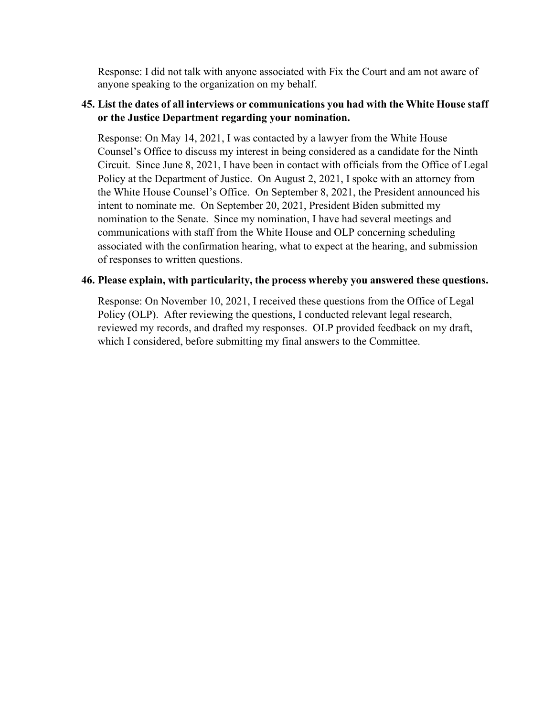Response: I did not talk with anyone associated with Fix the Court and am not aware of anyone speaking to the organization on my behalf.

# **45. List the dates of all interviews or communications you had with the White House staff or the Justice Department regarding your nomination.**

Response: On May 14, 2021, I was contacted by a lawyer from the White House Counsel's Office to discuss my interest in being considered as a candidate for the Ninth Circuit. Since June 8, 2021, I have been in contact with officials from the Office of Legal Policy at the Department of Justice. On August 2, 2021, I spoke with an attorney from the White House Counsel's Office. On September 8, 2021, the President announced his intent to nominate me. On September 20, 2021, President Biden submitted my nomination to the Senate. Since my nomination, I have had several meetings and communications with staff from the White House and OLP concerning scheduling associated with the confirmation hearing, what to expect at the hearing, and submission of responses to written questions.

### **46. Please explain, with particularity, the process whereby you answered these questions.**

Response: On November 10, 2021, I received these questions from the Office of Legal Policy (OLP). After reviewing the questions, I conducted relevant legal research, reviewed my records, and drafted my responses. OLP provided feedback on my draft, which I considered, before submitting my final answers to the Committee.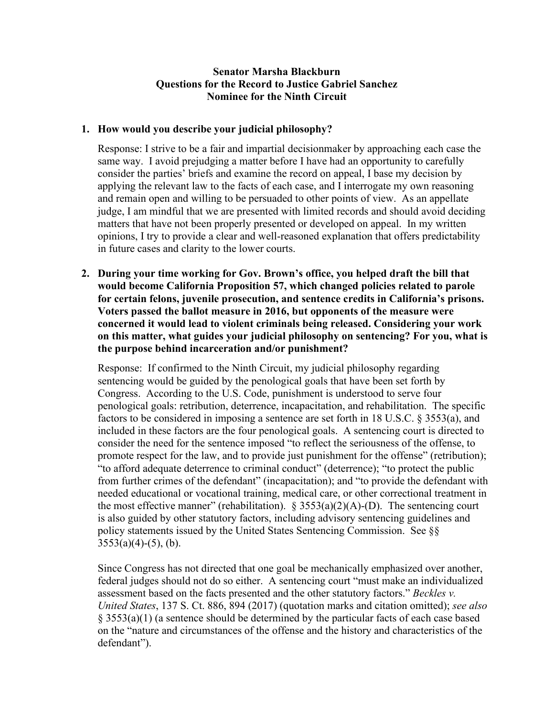### **Senator Marsha Blackburn Questions for the Record to Justice Gabriel Sanchez Nominee for the Ninth Circuit**

### **1. How would you describe your judicial philosophy?**

Response: I strive to be a fair and impartial decisionmaker by approaching each case the same way. I avoid prejudging a matter before I have had an opportunity to carefully consider the parties' briefs and examine the record on appeal, I base my decision by applying the relevant law to the facts of each case, and I interrogate my own reasoning and remain open and willing to be persuaded to other points of view. As an appellate judge, I am mindful that we are presented with limited records and should avoid deciding matters that have not been properly presented or developed on appeal. In my written opinions, I try to provide a clear and well-reasoned explanation that offers predictability in future cases and clarity to the lower courts.

**2. During your time working for Gov. Brown's office, you helped draft the bill that would become California Proposition 57, which changed policies related to parole for certain felons, juvenile prosecution, and sentence credits in California's prisons. Voters passed the ballot measure in 2016, but opponents of the measure were concerned it would lead to violent criminals being released. Considering your work on this matter, what guides your judicial philosophy on sentencing? For you, what is the purpose behind incarceration and/or punishment?**

Response: If confirmed to the Ninth Circuit, my judicial philosophy regarding sentencing would be guided by the penological goals that have been set forth by Congress. According to the U.S. Code, punishment is understood to serve four penological goals: retribution, deterrence, incapacitation, and rehabilitation. The specific factors to be considered in imposing a sentence are set forth in 18 U.S.C. § 3553(a), and included in these factors are the four penological goals. A sentencing court is directed to consider the need for the sentence imposed "to reflect the seriousness of the offense, to promote respect for the law, and to provide just punishment for the offense" (retribution); "to afford adequate deterrence to criminal conduct" (deterrence); "to protect the public from further crimes of the defendant" (incapacitation); and "to provide the defendant with needed educational or vocational training, medical care, or other correctional treatment in the most effective manner" (rehabilitation).  $\S 3553(a)(2)(A)$ -(D). The sentencing court is also guided by other statutory factors, including advisory sentencing guidelines and policy statements issued by the United States Sentencing Commission. See §§  $3553(a)(4)-(5)$ , (b).

Since Congress has not directed that one goal be mechanically emphasized over another, federal judges should not do so either. A sentencing court "must make an individualized assessment based on the facts presented and the other statutory factors." *Beckles v. United States*, 137 S. Ct. 886, 894 (2017) (quotation marks and citation omitted); *see also* § 3553(a)(1) (a sentence should be determined by the particular facts of each case based on the "nature and circumstances of the offense and the history and characteristics of the defendant").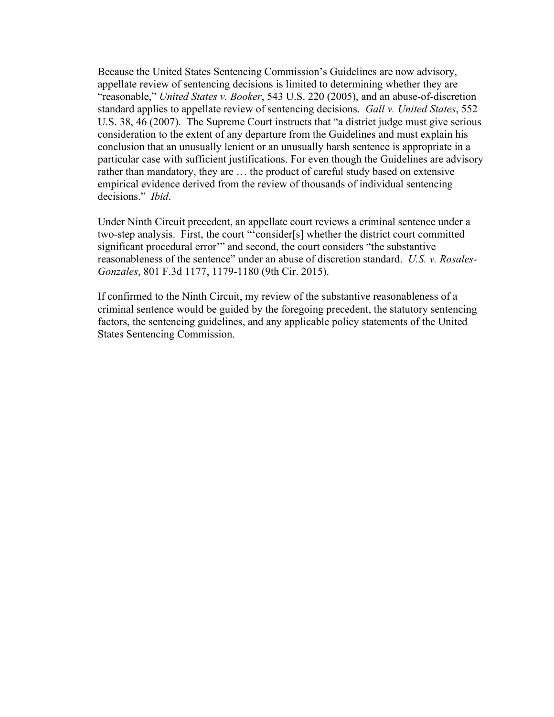Because the United States Sentencing Commission's Guidelines are now advisory, appellate review of sentencing decisions is limited to determining whether they are "reasonable," *United States v. Booker*, 543 U.S. 220 (2005), and an abuse-of-discretion standard applies to appellate review of sentencing decisions. *Gall v. United States*, 552 U.S. 38, 46 (2007). The Supreme Court instructs that "a district judge must give serious consideration to the extent of any departure from the Guidelines and must explain his conclusion that an unusually lenient or an unusually harsh sentence is appropriate in a particular case with sufficient justifications. For even though the Guidelines are advisory rather than mandatory, they are … the product of careful study based on extensive empirical evidence derived from the review of thousands of individual sentencing decisions." *Ibid*.

Under Ninth Circuit precedent, an appellate court reviews a criminal sentence under a two-step analysis. First, the court "'consider[s] whether the district court committed significant procedural error'" and second, the court considers "the substantive reasonableness of the sentence" under an abuse of discretion standard. *U.S. v. Rosales-Gonzales*, 801 F.3d 1177, 1179-1180 (9th Cir. 2015).

If confirmed to the Ninth Circuit, my review of the substantive reasonableness of a criminal sentence would be guided by the foregoing precedent, the statutory sentencing factors, the sentencing guidelines, and any applicable policy statements of the United States Sentencing Commission.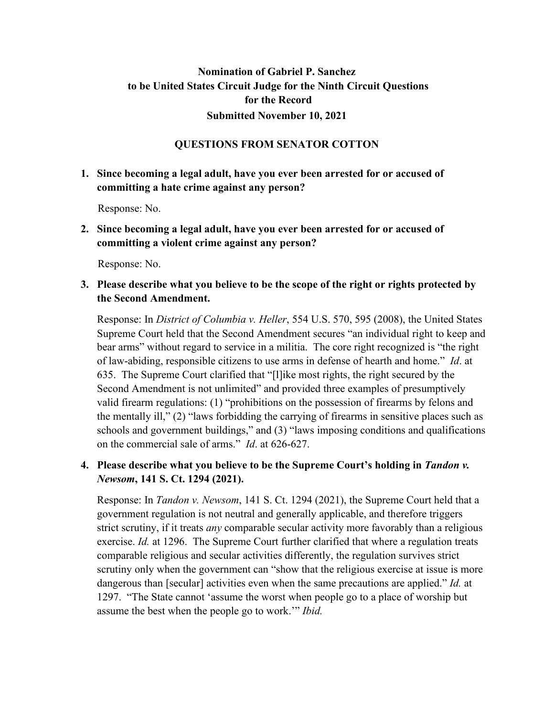# **Nomination of Gabriel P. Sanchez to be United States Circuit Judge for the Ninth Circuit Questions for the Record Submitted November 10, 2021**

## **QUESTIONS FROM SENATOR COTTON**

# **1. Since becoming a legal adult, have you ever been arrested for or accused of committing a hate crime against any person?**

Response: No.

# **2. Since becoming a legal adult, have you ever been arrested for or accused of committing a violent crime against any person?**

Response: No.

# **3. Please describe what you believe to be the scope of the right or rights protected by the Second Amendment.**

Response: In *District of Columbia v. Heller*, 554 U.S. 570, 595 (2008), the United States Supreme Court held that the Second Amendment secures "an individual right to keep and bear arms" without regard to service in a militia. The core right recognized is "the right of law-abiding, responsible citizens to use arms in defense of hearth and home." *Id*. at 635. The Supreme Court clarified that "[l]ike most rights, the right secured by the Second Amendment is not unlimited" and provided three examples of presumptively valid firearm regulations: (1) "prohibitions on the possession of firearms by felons and the mentally ill," (2) "laws forbidding the carrying of firearms in sensitive places such as schools and government buildings," and (3) "laws imposing conditions and qualifications on the commercial sale of arms." *Id*. at 626-627.

# **4. Please describe what you believe to be the Supreme Court's holding in** *Tandon v. Newsom***, 141 S. Ct. 1294 (2021).**

Response: In *Tandon v. Newsom*, 141 S. Ct. 1294 (2021), the Supreme Court held that a government regulation is not neutral and generally applicable, and therefore triggers strict scrutiny, if it treats *any* comparable secular activity more favorably than a religious exercise. *Id.* at 1296. The Supreme Court further clarified that where a regulation treats comparable religious and secular activities differently, the regulation survives strict scrutiny only when the government can "show that the religious exercise at issue is more dangerous than [secular] activities even when the same precautions are applied." *Id.* at 1297. "The State cannot 'assume the worst when people go to a place of worship but assume the best when the people go to work.'" *Ibid.*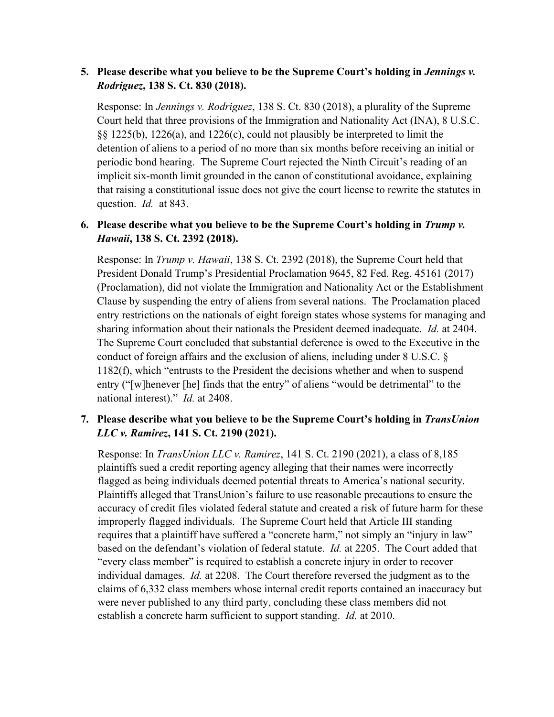# **5. Please describe what you believe to be the Supreme Court's holding in** *Jennings v. Rodriguez***, 138 S. Ct. 830 (2018).**

Response: In *Jennings v. Rodriguez*, 138 S. Ct. 830 (2018), a plurality of the Supreme Court held that three provisions of the Immigration and Nationality Act (INA), 8 U.S.C. §§ 1225(b), 1226(a), and 1226(c), could not plausibly be interpreted to limit the detention of aliens to a period of no more than six months before receiving an initial or periodic bond hearing. The Supreme Court rejected the Ninth Circuit's reading of an implicit six-month limit grounded in the canon of constitutional avoidance, explaining that raising a constitutional issue does not give the court license to rewrite the statutes in question. *Id.* at 843.

# **6. Please describe what you believe to be the Supreme Court's holding in** *Trump v. Hawaii***, 138 S. Ct. 2392 (2018).**

Response: In *Trump v. Hawaii*, 138 S. Ct. 2392 (2018), the Supreme Court held that President Donald Trump's Presidential Proclamation 9645, 82 Fed. Reg. 45161 (2017) (Proclamation), did not violate the Immigration and Nationality Act or the Establishment Clause by suspending the entry of aliens from several nations. The Proclamation placed entry restrictions on the nationals of eight foreign states whose systems for managing and sharing information about their nationals the President deemed inadequate. *Id.* at 2404. The Supreme Court concluded that substantial deference is owed to the Executive in the conduct of foreign affairs and the exclusion of aliens, including under 8 U.S.C. § 1182(f), which "entrusts to the President the decisions whether and when to suspend entry ("[w]henever [he] finds that the entry" of aliens "would be detrimental" to the national interest)." *Id.* at 2408.

# **7. Please describe what you believe to be the Supreme Court's holding in** *TransUnion LLC v. Ramirez***, 141 S. Ct. 2190 (2021).**

Response: In *TransUnion LLC v. Ramirez*, 141 S. Ct. 2190 (2021), a class of 8,185 plaintiffs sued a credit reporting agency alleging that their names were incorrectly flagged as being individuals deemed potential threats to America's national security. Plaintiffs alleged that TransUnion's failure to use reasonable precautions to ensure the accuracy of credit files violated federal statute and created a risk of future harm for these improperly flagged individuals. The Supreme Court held that Article III standing requires that a plaintiff have suffered a "concrete harm," not simply an "injury in law" based on the defendant's violation of federal statute. *Id.* at 2205. The Court added that "every class member" is required to establish a concrete injury in order to recover individual damages. *Id.* at 2208. The Court therefore reversed the judgment as to the claims of 6,332 class members whose internal credit reports contained an inaccuracy but were never published to any third party, concluding these class members did not establish a concrete harm sufficient to support standing. *Id.* at 2010.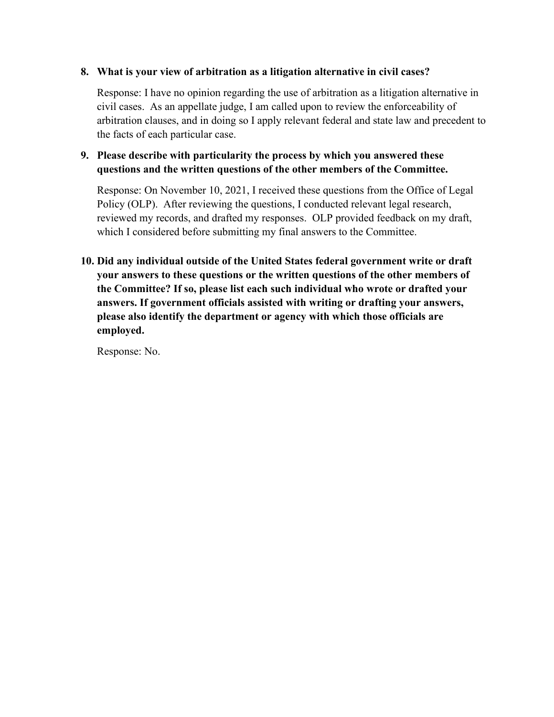### **8. What is your view of arbitration as a litigation alternative in civil cases?**

Response: I have no opinion regarding the use of arbitration as a litigation alternative in civil cases. As an appellate judge, I am called upon to review the enforceability of arbitration clauses, and in doing so I apply relevant federal and state law and precedent to the facts of each particular case.

# **9. Please describe with particularity the process by which you answered these questions and the written questions of the other members of the Committee.**

Response: On November 10, 2021, I received these questions from the Office of Legal Policy (OLP). After reviewing the questions, I conducted relevant legal research, reviewed my records, and drafted my responses. OLP provided feedback on my draft, which I considered before submitting my final answers to the Committee.

**10. Did any individual outside of the United States federal government write or draft your answers to these questions or the written questions of the other members of the Committee? If so, please list each such individual who wrote or drafted your answers. If government officials assisted with writing or drafting your answers, please also identify the department or agency with which those officials are employed.** 

Response: No.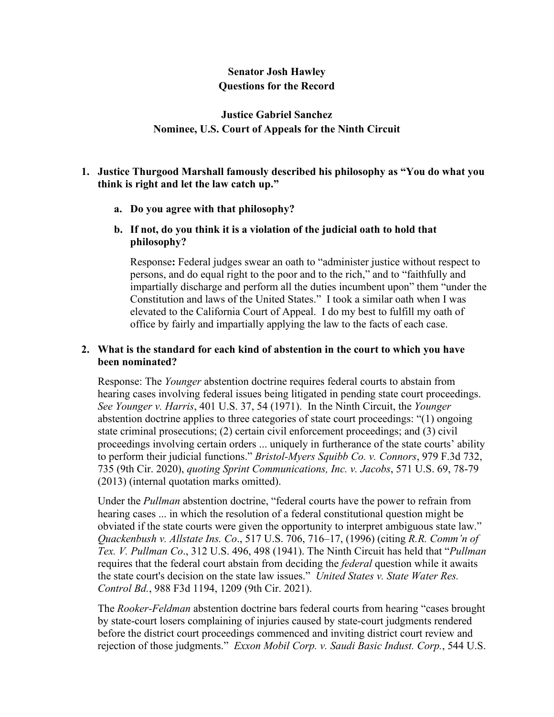# **Senator Josh Hawley Questions for the Record**

# **Justice Gabriel Sanchez Nominee, U.S. Court of Appeals for the Ninth Circuit**

## **1. Justice Thurgood Marshall famously described his philosophy as "You do what you think is right and let the law catch up."**

**a. Do you agree with that philosophy?**

## **b. If not, do you think it is a violation of the judicial oath to hold that philosophy?**

Response**:** Federal judges swear an oath to "administer justice without respect to persons, and do equal right to the poor and to the rich," and to "faithfully and impartially discharge and perform all the duties incumbent upon" them "under the Constitution and laws of the United States." I took a similar oath when I was elevated to the California Court of Appeal. I do my best to fulfill my oath of office by fairly and impartially applying the law to the facts of each case.

# **2. What is the standard for each kind of abstention in the court to which you have been nominated?**

Response: The *Younger* abstention doctrine requires federal courts to abstain from hearing cases involving federal issues being litigated in pending state court proceedings. *See Younger v. Harris*, 401 U.S. 37, 54 (1971). In the Ninth Circuit, the *Younger*  abstention doctrine applies to three categories of state court proceedings: "(1) ongoing state criminal prosecutions; (2) certain civil enforcement proceedings; and (3) civil proceedings involving certain orders ... uniquely in furtherance of the state courts' ability to perform their judicial functions." *Bristol-Myers Squibb Co. v. Connors*, 979 F.3d 732, 735 (9th Cir. 2020), *quoting Sprint Communications, Inc. v. Jacobs*, 571 U.S. 69, 78-79 (2013) (internal quotation marks omitted).

Under the *Pullman* abstention doctrine, "federal courts have the power to refrain from hearing cases ... in which the resolution of a federal constitutional question might be obviated if the state courts were given the opportunity to interpret ambiguous state law." *Quackenbush v. Allstate Ins. Co*., 517 U.S. 706, 716–17, (1996) (citing *R.R. Comm'n of Tex. V. Pullman Co*., 312 U.S. 496, 498 (1941). The Ninth Circuit has held that "*Pullman* requires that the federal court abstain from deciding the *federal* question while it awaits the state court's decision on the state law issues." *United States v. State Water Res. Control Bd.*, 988 F3d 1194, 1209 (9th Cir. 2021).

The *Rooker-Feldman* abstention doctrine bars federal courts from hearing "cases brought by state-court losers complaining of injuries caused by state-court judgments rendered before the district court proceedings commenced and inviting district court review and rejection of those judgments." *Exxon Mobil Corp. v. Saudi Basic Indust. Corp.*, 544 U.S.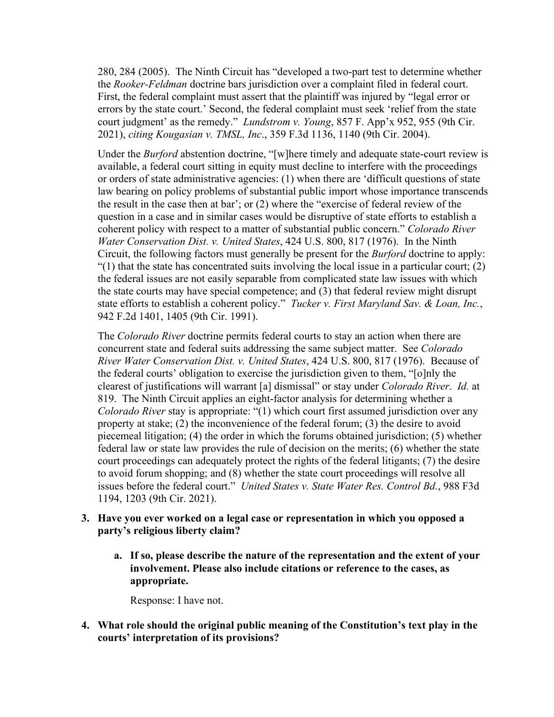280, 284 (2005). The Ninth Circuit has "developed a two-part test to determine whether the *Rooker-Feldman* doctrine bars jurisdiction over a complaint filed in federal court. First, the federal complaint must assert that the plaintiff was injured by "legal error or errors by the state court.' Second, the federal complaint must seek 'relief from the state court judgment' as the remedy." *Lundstrom v. Young*, 857 F. App'x 952, 955 (9th Cir. 2021), *citing Kougasian v. TMSL, Inc*., 359 F.3d 1136, 1140 (9th Cir. 2004).

Under the *Burford* abstention doctrine, "[w]here timely and adequate state-court review is available, a federal court sitting in equity must decline to interfere with the proceedings or orders of state administrative agencies: (1) when there are 'difficult questions of state law bearing on policy problems of substantial public import whose importance transcends the result in the case then at bar'; or (2) where the "exercise of federal review of the question in a case and in similar cases would be disruptive of state efforts to establish a coherent policy with respect to a matter of substantial public concern." *Colorado River Water Conservation Dist. v. United States*, 424 U.S. 800, 817 (1976). In the Ninth Circuit, the following factors must generally be present for the *Burford* doctrine to apply:  $\degree$ (1) that the state has concentrated suits involving the local issue in a particular court; (2) the federal issues are not easily separable from complicated state law issues with which the state courts may have special competence; and (3) that federal review might disrupt state efforts to establish a coherent policy." *Tucker v. First Maryland Sav. & Loan, Inc.*, 942 F.2d 1401, 1405 (9th Cir. 1991).

The *Colorado River* doctrine permits federal courts to stay an action when there are concurrent state and federal suits addressing the same subject matter. See *Colorado River Water Conservation Dist. v. United States*, 424 U.S. 800, 817 (1976). Because of the federal courts' obligation to exercise the jurisdiction given to them, "[o]nly the clearest of justifications will warrant [a] dismissal" or stay under *Colorado River*. *Id.* at 819. The Ninth Circuit applies an eight-factor analysis for determining whether a *Colorado River* stay is appropriate: "(1) which court first assumed jurisdiction over any property at stake; (2) the inconvenience of the federal forum; (3) the desire to avoid piecemeal litigation; (4) the order in which the forums obtained jurisdiction; (5) whether federal law or state law provides the rule of decision on the merits; (6) whether the state court proceedings can adequately protect the rights of the federal litigants; (7) the desire to avoid forum shopping; and (8) whether the state court proceedings will resolve all issues before the federal court." *United States v. State Water Res. Control Bd.*, 988 F3d 1194, 1203 (9th Cir. 2021).

# **3. Have you ever worked on a legal case or representation in which you opposed a party's religious liberty claim?**

**a. If so, please describe the nature of the representation and the extent of your involvement. Please also include citations or reference to the cases, as appropriate.**

Response: I have not.

**4. What role should the original public meaning of the Constitution's text play in the courts' interpretation of its provisions?**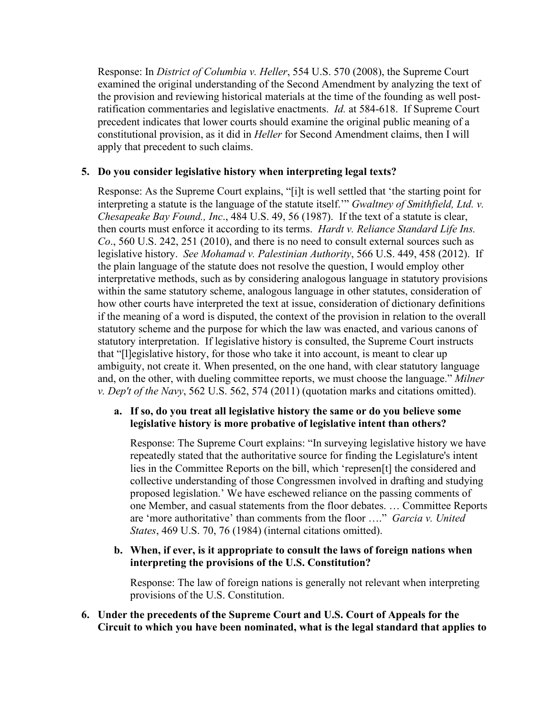Response: In *District of Columbia v. Heller*, 554 U.S. 570 (2008), the Supreme Court examined the original understanding of the Second Amendment by analyzing the text of the provision and reviewing historical materials at the time of the founding as well postratification commentaries and legislative enactments. *Id.* at 584-618. If Supreme Court precedent indicates that lower courts should examine the original public meaning of a constitutional provision, as it did in *Heller* for Second Amendment claims, then I will apply that precedent to such claims.

### **5. Do you consider legislative history when interpreting legal texts?**

Response: As the Supreme Court explains, "[i]t is well settled that 'the starting point for interpreting a statute is the language of the statute itself.'" *Gwaltney of Smithfield, Ltd. v. Chesapeake Bay Found., Inc*., 484 U.S. 49, 56 (1987). If the text of a statute is clear, then courts must enforce it according to its terms. *Hardt v. Reliance Standard Life Ins. Co*., 560 U.S. 242, 251 (2010), and there is no need to consult external sources such as legislative history. *See Mohamad v. Palestinian Authority*, 566 U.S. 449, 458 (2012). If the plain language of the statute does not resolve the question, I would employ other interpretative methods, such as by considering analogous language in statutory provisions within the same statutory scheme, analogous language in other statutes, consideration of how other courts have interpreted the text at issue, consideration of dictionary definitions if the meaning of a word is disputed, the context of the provision in relation to the overall statutory scheme and the purpose for which the law was enacted, and various canons of statutory interpretation. If legislative history is consulted, the Supreme Court instructs that "[l]egislative history, for those who take it into account, is meant to clear up ambiguity, not create it. When presented, on the one hand, with clear statutory language and, on the other, with dueling committee reports, we must choose the language." *Milner v. Dep't of the Navy*, 562 U.S. 562, 574 (2011) (quotation marks and citations omitted).

### **a. If so, do you treat all legislative history the same or do you believe some legislative history is more probative of legislative intent than others?**

Response: The Supreme Court explains: "In surveying legislative history we have repeatedly stated that the authoritative source for finding the Legislature's intent lies in the Committee Reports on the bill, which 'represen[t] the considered and collective understanding of those Congressmen involved in drafting and studying proposed legislation.' We have eschewed reliance on the passing comments of one Member, and casual statements from the floor debates. … Committee Reports are 'more authoritative' than comments from the floor …." *Garcia v. United States*, 469 U.S. 70, 76 (1984) (internal citations omitted).

### **b. When, if ever, is it appropriate to consult the laws of foreign nations when interpreting the provisions of the U.S. Constitution?**

Response: The law of foreign nations is generally not relevant when interpreting provisions of the U.S. Constitution.

### **6. Under the precedents of the Supreme Court and U.S. Court of Appeals for the Circuit to which you have been nominated, what is the legal standard that applies to**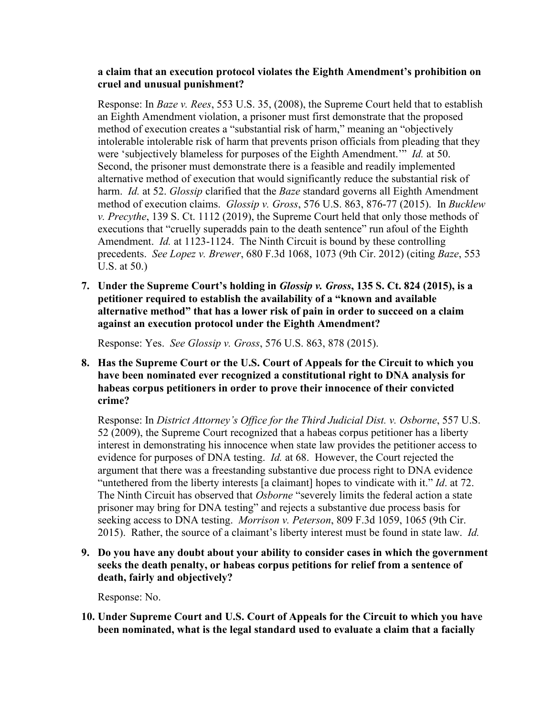### **a claim that an execution protocol violates the Eighth Amendment's prohibition on cruel and unusual punishment?**

Response: In *Baze v. Rees*, 553 U.S. 35, (2008), the Supreme Court held that to establish an Eighth Amendment violation, a prisoner must first demonstrate that the proposed method of execution creates a "substantial risk of harm," meaning an "objectively intolerable intolerable risk of harm that prevents prison officials from pleading that they were 'subjectively blameless for purposes of the Eighth Amendment.'" *Id.* at 50. Second, the prisoner must demonstrate there is a feasible and readily implemented alternative method of execution that would significantly reduce the substantial risk of harm. *Id.* at 52. *Glossip* clarified that the *Baze* standard governs all Eighth Amendment method of execution claims. *Glossip v. Gross*, 576 U.S. 863, 876-77 (2015). In *Bucklew v. Precythe*, 139 S. Ct. 1112 (2019), the Supreme Court held that only those methods of executions that "cruelly superadds pain to the death sentence" run afoul of the Eighth Amendment. *Id.* at 1123-1124. The Ninth Circuit is bound by these controlling precedents. *See Lopez v. Brewer*, 680 F.3d 1068, 1073 (9th Cir. 2012) (citing *Baze*, 553 U.S. at 50.)

**7. Under the Supreme Court's holding in** *Glossip v. Gross***, 135 S. Ct. 824 (2015), is a petitioner required to establish the availability of a "known and available alternative method" that has a lower risk of pain in order to succeed on a claim against an execution protocol under the Eighth Amendment?**

Response: Yes. *See Glossip v. Gross*, 576 U.S. 863, 878 (2015).

**8. Has the Supreme Court or the U.S. Court of Appeals for the Circuit to which you have been nominated ever recognized a constitutional right to DNA analysis for habeas corpus petitioners in order to prove their innocence of their convicted crime?**

Response: In *District Attorney's Office for the Third Judicial Dist. v. Osborne*, 557 U.S. 52 (2009), the Supreme Court recognized that a habeas corpus petitioner has a liberty interest in demonstrating his innocence when state law provides the petitioner access to evidence for purposes of DNA testing. *Id.* at 68. However, the Court rejected the argument that there was a freestanding substantive due process right to DNA evidence "untethered from the liberty interests [a claimant] hopes to vindicate with it." *Id*. at 72. The Ninth Circuit has observed that *Osborne* "severely limits the federal action a state prisoner may bring for DNA testing" and rejects a substantive due process basis for seeking access to DNA testing. *Morrison v. Peterson*, 809 F.3d 1059, 1065 (9th Cir. 2015). Rather, the source of a claimant's liberty interest must be found in state law. *Id.*

**9. Do you have any doubt about your ability to consider cases in which the government seeks the death penalty, or habeas corpus petitions for relief from a sentence of death, fairly and objectively?**

Response: No.

**10. Under Supreme Court and U.S. Court of Appeals for the Circuit to which you have been nominated, what is the legal standard used to evaluate a claim that a facially**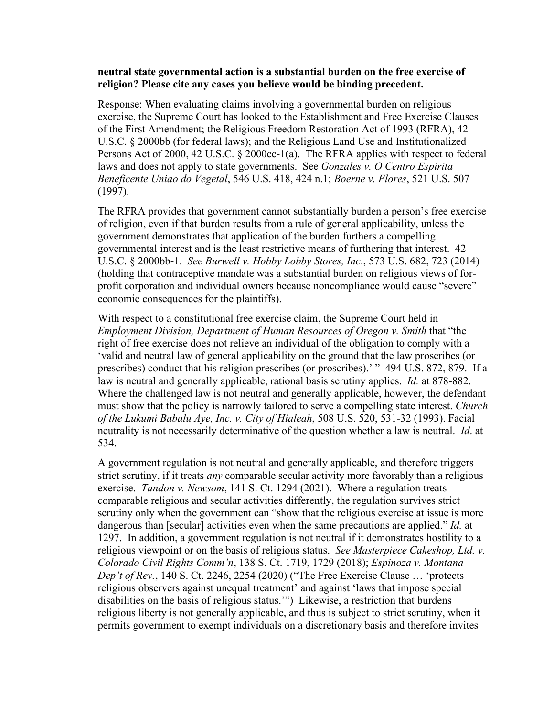#### **neutral state governmental action is a substantial burden on the free exercise of religion? Please cite any cases you believe would be binding precedent.**

Response: When evaluating claims involving a governmental burden on religious exercise, the Supreme Court has looked to the Establishment and Free Exercise Clauses of the First Amendment; the Religious Freedom Restoration Act of 1993 (RFRA), 42 U.S.C. § 2000bb (for federal laws); and the Religious Land Use and Institutionalized Persons Act of 2000, 42 U.S.C. § 2000cc-1(a). The RFRA applies with respect to federal laws and does not apply to state governments. See *Gonzales v. O Centro Espirita Beneficente Uniao do Vegetal*, 546 U.S. 418, 424 n.1; *Boerne v. Flores*, 521 U.S. 507 (1997).

The RFRA provides that government cannot substantially burden a person's free exercise of religion, even if that burden results from a rule of general applicability, unless the government demonstrates that application of the burden furthers a compelling governmental interest and is the least restrictive means of furthering that interest. 42 U.S.C. § 2000bb-1. *See Burwell v. Hobby Lobby Stores, Inc*., 573 U.S. 682, 723 (2014) (holding that contraceptive mandate was a substantial burden on religious views of forprofit corporation and individual owners because noncompliance would cause "severe" economic consequences for the plaintiffs).

With respect to a constitutional free exercise claim, the Supreme Court held in *Employment Division, Department of Human Resources of Oregon v. Smith* that "the right of free exercise does not relieve an individual of the obligation to comply with a 'valid and neutral law of general applicability on the ground that the law proscribes (or prescribes) conduct that his religion prescribes (or proscribes).' " 494 U.S. 872, 879. If a law is neutral and generally applicable, rational basis scrutiny applies. *Id.* at 878-882. Where the challenged law is not neutral and generally applicable, however, the defendant must show that the policy is narrowly tailored to serve a compelling state interest. *Church of the Lukumi Babalu Aye, Inc. v. City of Hialeah*, 508 U.S. 520, 531-32 (1993). Facial neutrality is not necessarily determinative of the question whether a law is neutral. *Id*. at 534.

A government regulation is not neutral and generally applicable, and therefore triggers strict scrutiny, if it treats *any* comparable secular activity more favorably than a religious exercise. *Tandon v. Newsom*, 141 S. Ct. 1294 (2021). Where a regulation treats comparable religious and secular activities differently, the regulation survives strict scrutiny only when the government can "show that the religious exercise at issue is more dangerous than [secular] activities even when the same precautions are applied." *Id.* at 1297. In addition, a government regulation is not neutral if it demonstrates hostility to a religious viewpoint or on the basis of religious status. *See Masterpiece Cakeshop, Ltd. v. Colorado Civil Rights Comm'n*, 138 S. Ct. 1719, 1729 (2018); *Espinoza v. Montana Dep't of Rev.*, 140 S. Ct. 2246, 2254 (2020) ("The Free Exercise Clause … 'protects religious observers against unequal treatment' and against 'laws that impose special disabilities on the basis of religious status.'") Likewise, a restriction that burdens religious liberty is not generally applicable, and thus is subject to strict scrutiny, when it permits government to exempt individuals on a discretionary basis and therefore invites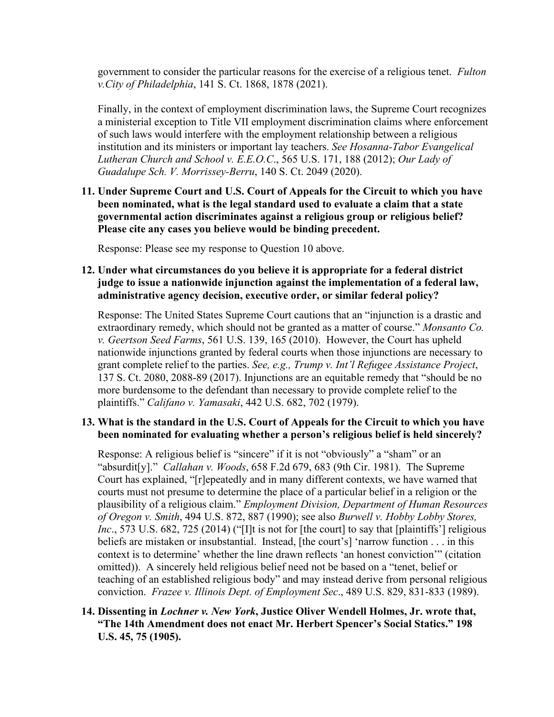government to consider the particular reasons for the exercise of a religious tenet. *Fulton v.City of Philadelphia*, 141 S. Ct. 1868, 1878 (2021).

Finally, in the context of employment discrimination laws, the Supreme Court recognizes a ministerial exception to Title VII employment discrimination claims where enforcement of such laws would interfere with the employment relationship between a religious institution and its ministers or important lay teachers. *See Hosanna-Tabor Evangelical Lutheran Church and School v. E.E.O.C*., 565 U.S. 171, 188 (2012); *Our Lady of Guadalupe Sch. V. Morrissey-Berru*, 140 S. Ct. 2049 (2020).

**11. Under Supreme Court and U.S. Court of Appeals for the Circuit to which you have been nominated, what is the legal standard used to evaluate a claim that a state governmental action discriminates against a religious group or religious belief? Please cite any cases you believe would be binding precedent.**

Response: Please see my response to Question 10 above.

# **12. Under what circumstances do you believe it is appropriate for a federal district judge to issue a nationwide injunction against the implementation of a federal law, administrative agency decision, executive order, or similar federal policy?**

Response: The United States Supreme Court cautions that an "injunction is a drastic and extraordinary remedy, which should not be granted as a matter of course." *Monsanto Co. v. Geertson Seed Farms*, 561 U.S. 139, 165 (2010). However, the Court has upheld nationwide injunctions granted by federal courts when those injunctions are necessary to grant complete relief to the parties. *See, e.g., Trump v. Int'l Refugee Assistance Project*, 137 S. Ct. 2080, 2088-89 (2017). Injunctions are an equitable remedy that "should be no more burdensome to the defendant than necessary to provide complete relief to the plaintiffs." *Califano v. Yamasaki*, 442 U.S. 682, 702 (1979).

### **13. What is the standard in the U.S. Court of Appeals for the Circuit to which you have been nominated for evaluating whether a person's religious belief is held sincerely?**

Response: A religious belief is "sincere" if it is not "obviously" a "sham" or an "absurdit[y]." *Callahan v. Woods*, 658 F.2d 679, 683 (9th Cir. 1981). The Supreme Court has explained, "[r]epeatedly and in many different contexts, we have warned that courts must not presume to determine the place of a particular belief in a religion or the plausibility of a religious claim." *Employment Division, Department of Human Resources of Oregon v. Smith*, 494 U.S. 872, 887 (1990); see also *Burwell v. Hobby Lobby Stores, Inc.*, 573 U.S. 682, 725 (2014) ("[I]t is not for [the court] to say that [plaintiffs'] religious beliefs are mistaken or insubstantial. Instead, [the court's] 'narrow function . . . in this context is to determine' whether the line drawn reflects 'an honest conviction'" (citation omitted)). A sincerely held religious belief need not be based on a "tenet, belief or teaching of an established religious body" and may instead derive from personal religious conviction. *Frazee v. Illinois Dept. of Employment Sec*., 489 U.S. 829, 831-833 (1989).

**14. Dissenting in** *Lochner v. New York***, Justice Oliver Wendell Holmes, Jr. wrote that, "The 14th Amendment does not enact Mr. Herbert Spencer's Social Statics." 198 U.S. 45, 75 (1905).**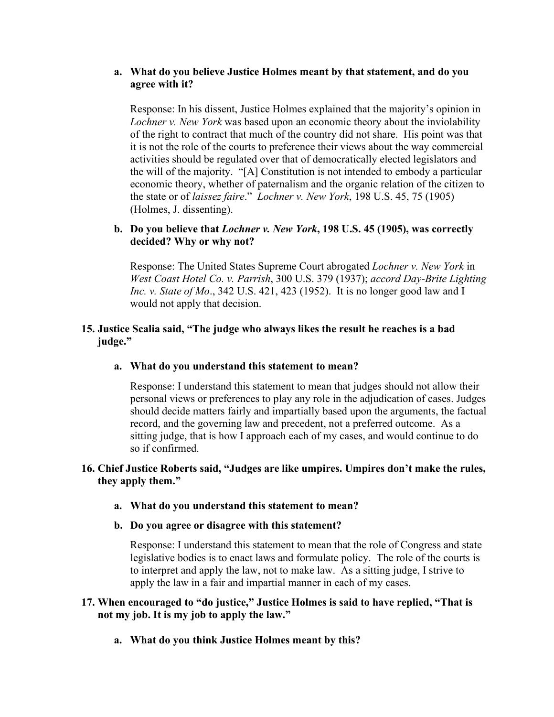### **a. What do you believe Justice Holmes meant by that statement, and do you agree with it?**

Response: In his dissent, Justice Holmes explained that the majority's opinion in *Lochner v. New York* was based upon an economic theory about the inviolability of the right to contract that much of the country did not share. His point was that it is not the role of the courts to preference their views about the way commercial activities should be regulated over that of democratically elected legislators and the will of the majority. "[A] Constitution is not intended to embody a particular economic theory, whether of paternalism and the organic relation of the citizen to the state or of *laissez faire*." *Lochner v. New York*, 198 U.S. 45, 75 (1905) (Holmes, J. dissenting).

## **b. Do you believe that** *Lochner v. New York***, 198 U.S. 45 (1905), was correctly decided? Why or why not?**

Response: The United States Supreme Court abrogated *Lochner v. New York* in *West Coast Hotel Co. v. Parrish*, 300 U.S. 379 (1937); *accord Day-Brite Lighting Inc. v. State of Mo*., 342 U.S. 421, 423 (1952). It is no longer good law and I would not apply that decision.

# **15. Justice Scalia said, "The judge who always likes the result he reaches is a bad judge."**

### **a. What do you understand this statement to mean?**

Response: I understand this statement to mean that judges should not allow their personal views or preferences to play any role in the adjudication of cases. Judges should decide matters fairly and impartially based upon the arguments, the factual record, and the governing law and precedent, not a preferred outcome. As a sitting judge, that is how I approach each of my cases, and would continue to do so if confirmed.

### **16. Chief Justice Roberts said, "Judges are like umpires. Umpires don't make the rules, they apply them."**

### **a. What do you understand this statement to mean?**

### **b. Do you agree or disagree with this statement?**

Response: I understand this statement to mean that the role of Congress and state legislative bodies is to enact laws and formulate policy. The role of the courts is to interpret and apply the law, not to make law. As a sitting judge, I strive to apply the law in a fair and impartial manner in each of my cases.

### **17. When encouraged to "do justice," Justice Holmes is said to have replied, "That is not my job. It is my job to apply the law."**

**a. What do you think Justice Holmes meant by this?**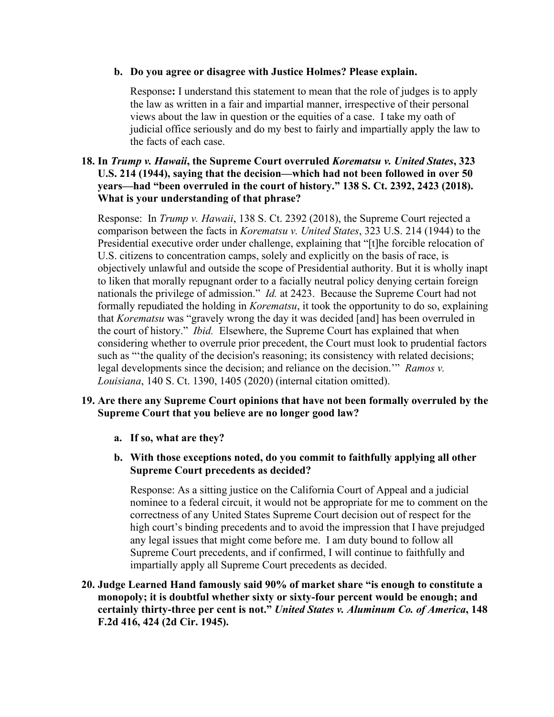### **b. Do you agree or disagree with Justice Holmes? Please explain.**

Response**:** I understand this statement to mean that the role of judges is to apply the law as written in a fair and impartial manner, irrespective of their personal views about the law in question or the equities of a case. I take my oath of judicial office seriously and do my best to fairly and impartially apply the law to the facts of each case.

### **18. In** *Trump v. Hawaii***, the Supreme Court overruled** *Korematsu v. United States***, 323 U.S. 214 (1944), saying that the decision—which had not been followed in over 50 years—had "been overruled in the court of history." 138 S. Ct. 2392, 2423 (2018). What is your understanding of that phrase?**

Response: In *Trump v. Hawaii*, 138 S. Ct. 2392 (2018), the Supreme Court rejected a comparison between the facts in *Korematsu v. United States*, 323 U.S. 214 (1944) to the Presidential executive order under challenge, explaining that "[t]he forcible relocation of U.S. citizens to concentration camps, solely and explicitly on the basis of race, is objectively unlawful and outside the scope of Presidential authority. But it is wholly inapt to liken that morally repugnant order to a facially neutral policy denying certain foreign nationals the privilege of admission." *Id.* at 2423. Because the Supreme Court had not formally repudiated the holding in *Korematsu*, it took the opportunity to do so, explaining that *Korematsu* was "gravely wrong the day it was decided [and] has been overruled in the court of history." *Ibid.* Elsewhere, the Supreme Court has explained that when considering whether to overrule prior precedent, the Court must look to prudential factors such as "'the quality of the decision's reasoning; its consistency with related decisions; legal developments since the decision; and reliance on the decision.'" *Ramos v. Louisiana*, 140 S. Ct. 1390, 1405 (2020) (internal citation omitted).

### **19. Are there any Supreme Court opinions that have not been formally overruled by the Supreme Court that you believe are no longer good law?**

- **a. If so, what are they?**
- **b. With those exceptions noted, do you commit to faithfully applying all other Supreme Court precedents as decided?**

Response: As a sitting justice on the California Court of Appeal and a judicial nominee to a federal circuit, it would not be appropriate for me to comment on the correctness of any United States Supreme Court decision out of respect for the high court's binding precedents and to avoid the impression that I have prejudged any legal issues that might come before me. I am duty bound to follow all Supreme Court precedents, and if confirmed, I will continue to faithfully and impartially apply all Supreme Court precedents as decided.

**20. Judge Learned Hand famously said 90% of market share "is enough to constitute a monopoly; it is doubtful whether sixty or sixty-four percent would be enough; and certainly thirty-three per cent is not."** *United States v. Aluminum Co. of America***, 148 F.2d 416, 424 (2d Cir. 1945).**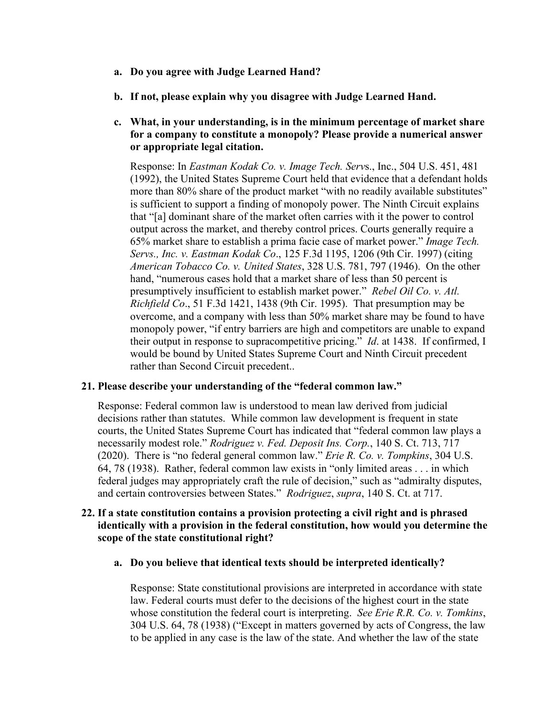- **a. Do you agree with Judge Learned Hand?**
- **b. If not, please explain why you disagree with Judge Learned Hand.**
- **c. What, in your understanding, is in the minimum percentage of market share for a company to constitute a monopoly? Please provide a numerical answer or appropriate legal citation.**

Response: In *Eastman Kodak Co. v. Image Tech. Serv*s., Inc., 504 U.S. 451, 481 (1992), the United States Supreme Court held that evidence that a defendant holds more than 80% share of the product market "with no readily available substitutes" is sufficient to support a finding of monopoly power. The Ninth Circuit explains that "[a] dominant share of the market often carries with it the power to control output across the market, and thereby control prices. Courts generally require a 65% market share to establish a prima facie case of market power." *Image Tech. Servs., Inc. v. Eastman Kodak Co*., 125 F.3d 1195, 1206 (9th Cir. 1997) (citing *American Tobacco Co. v. United States*, 328 U.S. 781, 797 (1946). On the other hand, "numerous cases hold that a market share of less than 50 percent is presumptively insufficient to establish market power." *Rebel Oil Co. v. Atl. Richfield Co*., 51 F.3d 1421, 1438 (9th Cir. 1995). That presumption may be overcome, and a company with less than 50% market share may be found to have monopoly power, "if entry barriers are high and competitors are unable to expand their output in response to supracompetitive pricing." *Id*. at 1438. If confirmed, I would be bound by United States Supreme Court and Ninth Circuit precedent rather than Second Circuit precedent..

# **21. Please describe your understanding of the "federal common law."**

Response: Federal common law is understood to mean law derived from judicial decisions rather than statutes. While common law development is frequent in state courts, the United States Supreme Court has indicated that "federal common law plays a necessarily modest role." *Rodriguez v. Fed. Deposit Ins. Corp.*, 140 S. Ct. 713, 717 (2020). There is "no federal general common law." *Erie R. Co. v. Tompkins*, 304 U.S. 64, 78 (1938). Rather, federal common law exists in "only limited areas . . . in which federal judges may appropriately craft the rule of decision," such as "admiralty disputes, and certain controversies between States." *Rodriguez*, *supra*, 140 S. Ct. at 717.

### **22. If a state constitution contains a provision protecting a civil right and is phrased identically with a provision in the federal constitution, how would you determine the scope of the state constitutional right?**

**a. Do you believe that identical texts should be interpreted identically?**

Response: State constitutional provisions are interpreted in accordance with state law. Federal courts must defer to the decisions of the highest court in the state whose constitution the federal court is interpreting. *See Erie R.R. Co. v. Tomkins*, 304 U.S. 64, 78 (1938) ("Except in matters governed by acts of Congress, the law to be applied in any case is the law of the state. And whether the law of the state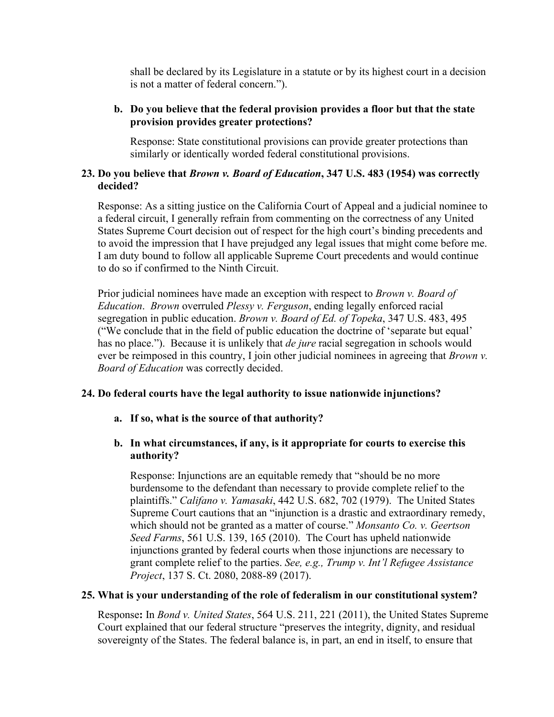shall be declared by its Legislature in a statute or by its highest court in a decision is not a matter of federal concern.").

### **b. Do you believe that the federal provision provides a floor but that the state provision provides greater protections?**

Response: State constitutional provisions can provide greater protections than similarly or identically worded federal constitutional provisions.

### **23. Do you believe that** *Brown v. Board of Education***, 347 U.S. 483 (1954) was correctly decided?**

Response: As a sitting justice on the California Court of Appeal and a judicial nominee to a federal circuit, I generally refrain from commenting on the correctness of any United States Supreme Court decision out of respect for the high court's binding precedents and to avoid the impression that I have prejudged any legal issues that might come before me. I am duty bound to follow all applicable Supreme Court precedents and would continue to do so if confirmed to the Ninth Circuit.

Prior judicial nominees have made an exception with respect to *Brown v. Board of Education*. *Brown* overruled *Plessy v. Ferguson*, ending legally enforced racial segregation in public education. *Brown v. Board of Ed. of Topeka*, 347 U.S. 483, 495 ("We conclude that in the field of public education the doctrine of 'separate but equal' has no place."). Because it is unlikely that *de jure* racial segregation in schools would ever be reimposed in this country, I join other judicial nominees in agreeing that *Brown v. Board of Education* was correctly decided.

# **24. Do federal courts have the legal authority to issue nationwide injunctions?**

**a. If so, what is the source of that authority?** 

### **b. In what circumstances, if any, is it appropriate for courts to exercise this authority?**

Response: Injunctions are an equitable remedy that "should be no more burdensome to the defendant than necessary to provide complete relief to the plaintiffs." *Califano v. Yamasaki*, 442 U.S. 682, 702 (1979). The United States Supreme Court cautions that an "injunction is a drastic and extraordinary remedy, which should not be granted as a matter of course." *Monsanto Co. v. Geertson Seed Farms*, 561 U.S. 139, 165 (2010). The Court has upheld nationwide injunctions granted by federal courts when those injunctions are necessary to grant complete relief to the parties. *See, e.g., Trump v. Int'l Refugee Assistance Project*, 137 S. Ct. 2080, 2088-89 (2017).

### **25. What is your understanding of the role of federalism in our constitutional system?**

Response**:** In *Bond v. United States*, 564 U.S. 211, 221 (2011), the United States Supreme Court explained that our federal structure "preserves the integrity, dignity, and residual sovereignty of the States. The federal balance is, in part, an end in itself, to ensure that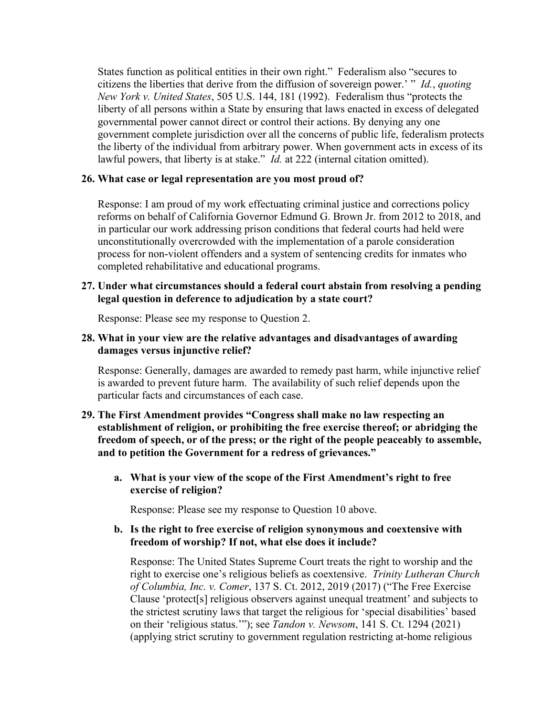States function as political entities in their own right." Federalism also "secures to citizens the liberties that derive from the diffusion of sovereign power.' " *Id.*, *quoting New York v. United States*, 505 U.S. 144, 181 (1992). Federalism thus "protects the liberty of all persons within a State by ensuring that laws enacted in excess of delegated governmental power cannot direct or control their actions. By denying any one government complete jurisdiction over all the concerns of public life, federalism protects the liberty of the individual from arbitrary power. When government acts in excess of its lawful powers, that liberty is at stake." *Id.* at 222 (internal citation omitted).

### **26. What case or legal representation are you most proud of?**

Response: I am proud of my work effectuating criminal justice and corrections policy reforms on behalf of California Governor Edmund G. Brown Jr. from 2012 to 2018, and in particular our work addressing prison conditions that federal courts had held were unconstitutionally overcrowded with the implementation of a parole consideration process for non-violent offenders and a system of sentencing credits for inmates who completed rehabilitative and educational programs.

### **27. Under what circumstances should a federal court abstain from resolving a pending legal question in deference to adjudication by a state court?**

Response: Please see my response to Question 2.

### **28. What in your view are the relative advantages and disadvantages of awarding damages versus injunctive relief?**

Response: Generally, damages are awarded to remedy past harm, while injunctive relief is awarded to prevent future harm. The availability of such relief depends upon the particular facts and circumstances of each case.

## **29. The First Amendment provides "Congress shall make no law respecting an establishment of religion, or prohibiting the free exercise thereof; or abridging the freedom of speech, or of the press; or the right of the people peaceably to assemble, and to petition the Government for a redress of grievances."**

**a. What is your view of the scope of the First Amendment's right to free exercise of religion?**

Response: Please see my response to Question 10 above.

### **b. Is the right to free exercise of religion synonymous and coextensive with freedom of worship? If not, what else does it include?**

Response: The United States Supreme Court treats the right to worship and the right to exercise one's religious beliefs as coextensive. *Trinity Lutheran Church of Columbia, Inc. v. Comer*, 137 S. Ct. 2012, 2019 (2017) ("The Free Exercise Clause 'protect[s] religious observers against unequal treatment' and subjects to the strictest scrutiny laws that target the religious for 'special disabilities' based on their 'religious status.'"); see *Tandon v. Newsom*, 141 S. Ct. 1294 (2021) (applying strict scrutiny to government regulation restricting at-home religious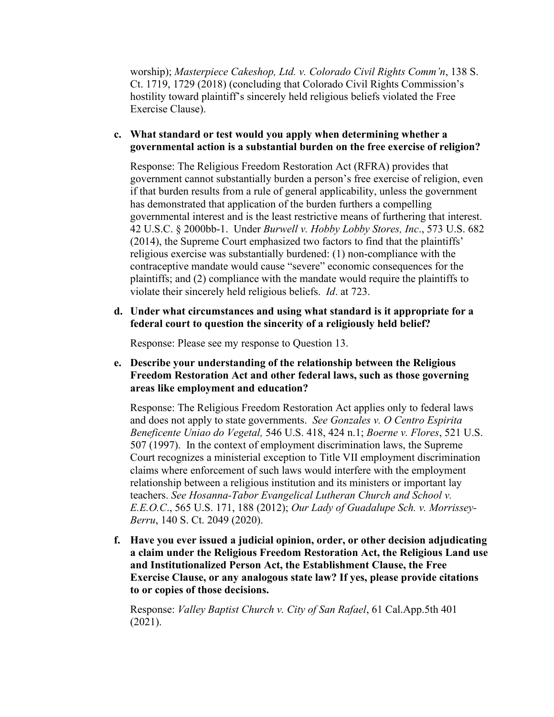worship); *Masterpiece Cakeshop, Ltd. v. Colorado Civil Rights Comm'n*, 138 S. Ct. 1719, 1729 (2018) (concluding that Colorado Civil Rights Commission's hostility toward plaintiff's sincerely held religious beliefs violated the Free Exercise Clause).

### **c. What standard or test would you apply when determining whether a governmental action is a substantial burden on the free exercise of religion?**

Response: The Religious Freedom Restoration Act (RFRA) provides that government cannot substantially burden a person's free exercise of religion, even if that burden results from a rule of general applicability, unless the government has demonstrated that application of the burden furthers a compelling governmental interest and is the least restrictive means of furthering that interest. 42 U.S.C. § 2000bb-1. Under *Burwell v. Hobby Lobby Stores, Inc*., 573 U.S. 682 (2014), the Supreme Court emphasized two factors to find that the plaintiffs' religious exercise was substantially burdened: (1) non-compliance with the contraceptive mandate would cause "severe" economic consequences for the plaintiffs; and (2) compliance with the mandate would require the plaintiffs to violate their sincerely held religious beliefs. *Id*. at 723.

**d. Under what circumstances and using what standard is it appropriate for a federal court to question the sincerity of a religiously held belief?**

Response: Please see my response to Question 13.

**e. Describe your understanding of the relationship between the Religious Freedom Restoration Act and other federal laws, such as those governing areas like employment and education?**

Response: The Religious Freedom Restoration Act applies only to federal laws and does not apply to state governments. *See Gonzales v. O Centro Espirita Beneficente Uniao do Vegetal,* 546 U.S. 418, 424 n.1; *Boerne v. Flores*, 521 U.S. 507 (1997). In the context of employment discrimination laws, the Supreme Court recognizes a ministerial exception to Title VII employment discrimination claims where enforcement of such laws would interfere with the employment relationship between a religious institution and its ministers or important lay teachers. *See Hosanna-Tabor Evangelical Lutheran Church and School v. E.E.O.C*., 565 U.S. 171, 188 (2012); *Our Lady of Guadalupe Sch. v. Morrissey-Berru*, 140 S. Ct. 2049 (2020).

**f. Have you ever issued a judicial opinion, order, or other decision adjudicating a claim under the Religious Freedom Restoration Act, the Religious Land use and Institutionalized Person Act, the Establishment Clause, the Free Exercise Clause, or any analogous state law? If yes, please provide citations to or copies of those decisions.**

Response: *Valley Baptist Church v. City of San Rafael*, 61 Cal.App.5th 401 (2021).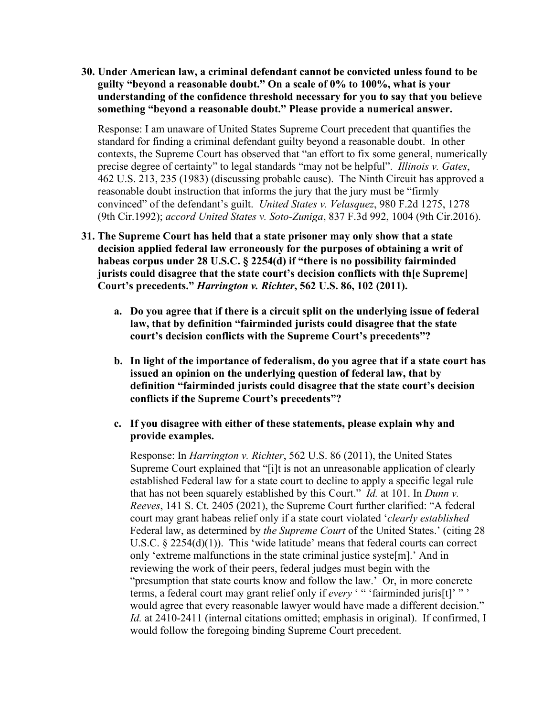**30. Under American law, a criminal defendant cannot be convicted unless found to be guilty "beyond a reasonable doubt." On a scale of 0% to 100%, what is your understanding of the confidence threshold necessary for you to say that you believe something "beyond a reasonable doubt." Please provide a numerical answer.**

Response: I am unaware of United States Supreme Court precedent that quantifies the standard for finding a criminal defendant guilty beyond a reasonable doubt. In other contexts, the Supreme Court has observed that "an effort to fix some general, numerically precise degree of certainty" to legal standards "may not be helpful". *Illinois v. Gates*, 462 U.S. 213, 235 (1983) (discussing probable cause). The Ninth Circuit has approved a reasonable doubt instruction that informs the jury that the jury must be "firmly convinced" of the defendant's guilt. *United States v. Velasquez*, 980 F.2d 1275, 1278 (9th Cir.1992); *accord United States v. Soto-Zuniga*, 837 F.3d 992, 1004 (9th Cir.2016).

- **31. The Supreme Court has held that a state prisoner may only show that a state decision applied federal law erroneously for the purposes of obtaining a writ of habeas corpus under 28 U.S.C. § 2254(d) if "there is no possibility fairminded jurists could disagree that the state court's decision conflicts with th[e Supreme] Court's precedents."** *Harrington v. Richter***, 562 U.S. 86, 102 (2011).**
	- **a. Do you agree that if there is a circuit split on the underlying issue of federal law, that by definition "fairminded jurists could disagree that the state court's decision conflicts with the Supreme Court's precedents"?**
	- **b. In light of the importance of federalism, do you agree that if a state court has issued an opinion on the underlying question of federal law, that by definition "fairminded jurists could disagree that the state court's decision conflicts if the Supreme Court's precedents"?**
	- **c. If you disagree with either of these statements, please explain why and provide examples.**

Response: In *Harrington v. Richter*, 562 U.S. 86 (2011), the United States Supreme Court explained that "[i]t is not an unreasonable application of clearly established Federal law for a state court to decline to apply a specific legal rule that has not been squarely established by this Court." *Id.* at 101. In *Dunn v. Reeves*, 141 S. Ct. 2405 (2021), the Supreme Court further clarified: "A federal court may grant habeas relief only if a state court violated '*clearly established* Federal law, as determined by *the Supreme Court* of the United States.' (citing 28 U.S.C. § 2254(d)(1)). This 'wide latitude' means that federal courts can correct only 'extreme malfunctions in the state criminal justice syste[m].' And in reviewing the work of their peers, federal judges must begin with the "presumption that state courts know and follow the law.' Or, in more concrete terms, a federal court may grant relief only if *every* ' " 'fairminded juris[t]' " ' would agree that every reasonable lawyer would have made a different decision." *Id.* at 2410-2411 (internal citations omitted; emphasis in original). If confirmed, I would follow the foregoing binding Supreme Court precedent.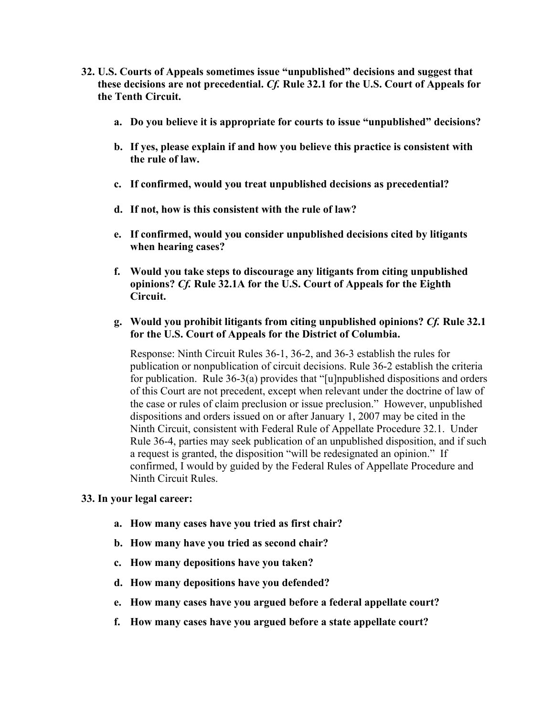- **32. U.S. Courts of Appeals sometimes issue "unpublished" decisions and suggest that these decisions are not precedential.** *Cf.* **Rule 32.1 for the U.S. Court of Appeals for the Tenth Circuit.**
	- **a. Do you believe it is appropriate for courts to issue "unpublished" decisions?**
	- **b. If yes, please explain if and how you believe this practice is consistent with the rule of law.**
	- **c. If confirmed, would you treat unpublished decisions as precedential?**
	- **d. If not, how is this consistent with the rule of law?**
	- **e. If confirmed, would you consider unpublished decisions cited by litigants when hearing cases?**
	- **f. Would you take steps to discourage any litigants from citing unpublished opinions?** *Cf.* **Rule 32.1A for the U.S. Court of Appeals for the Eighth Circuit.**
	- **g. Would you prohibit litigants from citing unpublished opinions?** *Cf.* **Rule 32.1 for the U.S. Court of Appeals for the District of Columbia.**

Response: Ninth Circuit Rules 36-1, 36-2, and 36-3 establish the rules for publication or nonpublication of circuit decisions. Rule 36-2 establish the criteria for publication. Rule 36-3(a) provides that "[u]npublished dispositions and orders of this Court are not precedent, except when relevant under the doctrine of law of the case or rules of claim preclusion or issue preclusion." However, unpublished dispositions and orders issued on or after January 1, 2007 may be cited in the Ninth Circuit, consistent with Federal Rule of Appellate Procedure 32.1. Under Rule 36-4, parties may seek publication of an unpublished disposition, and if such a request is granted, the disposition "will be redesignated an opinion." If confirmed, I would by guided by the Federal Rules of Appellate Procedure and Ninth Circuit Rules.

### **33. In your legal career:**

- **a. How many cases have you tried as first chair?**
- **b. How many have you tried as second chair?**
- **c. How many depositions have you taken?**
- **d. How many depositions have you defended?**
- **e. How many cases have you argued before a federal appellate court?**
- **f. How many cases have you argued before a state appellate court?**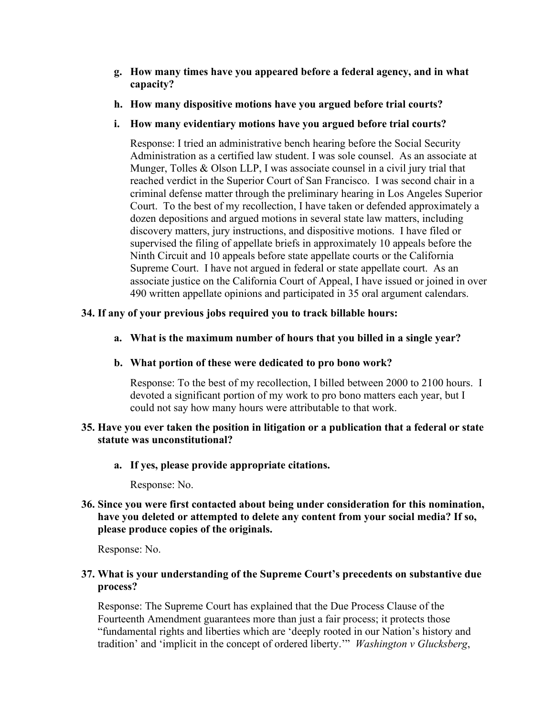- **g. How many times have you appeared before a federal agency, and in what capacity?**
- **h. How many dispositive motions have you argued before trial courts?**
- **i. How many evidentiary motions have you argued before trial courts?**

Response: I tried an administrative bench hearing before the Social Security Administration as a certified law student. I was sole counsel. As an associate at Munger, Tolles & Olson LLP, I was associate counsel in a civil jury trial that reached verdict in the Superior Court of San Francisco. I was second chair in a criminal defense matter through the preliminary hearing in Los Angeles Superior Court. To the best of my recollection, I have taken or defended approximately a dozen depositions and argued motions in several state law matters, including discovery matters, jury instructions, and dispositive motions. I have filed or supervised the filing of appellate briefs in approximately 10 appeals before the Ninth Circuit and 10 appeals before state appellate courts or the California Supreme Court. I have not argued in federal or state appellate court. As an associate justice on the California Court of Appeal, I have issued or joined in over 490 written appellate opinions and participated in 35 oral argument calendars.

### **34. If any of your previous jobs required you to track billable hours:**

- **a. What is the maximum number of hours that you billed in a single year?**
- **b. What portion of these were dedicated to pro bono work?**

Response: To the best of my recollection, I billed between 2000 to 2100 hours. I devoted a significant portion of my work to pro bono matters each year, but I could not say how many hours were attributable to that work.

### **35. Have you ever taken the position in litigation or a publication that a federal or state statute was unconstitutional?**

**a. If yes, please provide appropriate citations.**

Response: No.

**36. Since you were first contacted about being under consideration for this nomination, have you deleted or attempted to delete any content from your social media? If so, please produce copies of the originals.**

Response: No.

# **37. What is your understanding of the Supreme Court's precedents on substantive due process?**

Response: The Supreme Court has explained that the Due Process Clause of the Fourteenth Amendment guarantees more than just a fair process; it protects those "fundamental rights and liberties which are 'deeply rooted in our Nation's history and tradition' and 'implicit in the concept of ordered liberty.'" *Washington v Glucksberg*,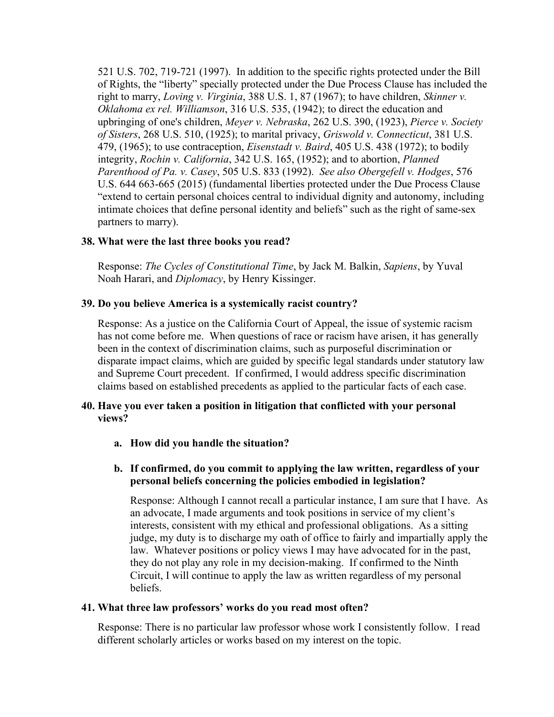521 U.S. 702, 719-721 (1997). In addition to the specific rights protected under the Bill of Rights, the "liberty" specially protected under the Due Process Clause has included the right to marry, *Loving v. Virginia*, 388 U.S. 1, 87 (1967); to have children, *Skinner v. Oklahoma ex rel. Williamson*, 316 U.S. 535, (1942); to direct the education and upbringing of one's children, *Meyer v. Nebraska*, 262 U.S. 390, (1923), *Pierce v. Society of Sisters*, 268 U.S. 510, (1925); to marital privacy, *Griswold v. Connecticut*, 381 U.S. 479, (1965); to use contraception, *Eisenstadt v. Baird*, 405 U.S. 438 (1972); to bodily integrity, *Rochin v. California*, 342 U.S. 165, (1952); and to abortion, *Planned Parenthood of Pa. v. Casey*, 505 U.S. 833 (1992). *See also Obergefell v. Hodges*, 576 U.S. 644 663-665 (2015) (fundamental liberties protected under the Due Process Clause "extend to certain personal choices central to individual dignity and autonomy, including intimate choices that define personal identity and beliefs" such as the right of same-sex partners to marry).

#### **38. What were the last three books you read?**

Response: *The Cycles of Constitutional Time*, by Jack M. Balkin, *Sapiens*, by Yuval Noah Harari, and *Diplomacy*, by Henry Kissinger.

#### **39. Do you believe America is a systemically racist country?**

Response: As a justice on the California Court of Appeal, the issue of systemic racism has not come before me. When questions of race or racism have arisen, it has generally been in the context of discrimination claims, such as purposeful discrimination or disparate impact claims, which are guided by specific legal standards under statutory law and Supreme Court precedent. If confirmed, I would address specific discrimination claims based on established precedents as applied to the particular facts of each case.

### **40. Have you ever taken a position in litigation that conflicted with your personal views?**

**a. How did you handle the situation?**

### **b. If confirmed, do you commit to applying the law written, regardless of your personal beliefs concerning the policies embodied in legislation?**

Response: Although I cannot recall a particular instance, I am sure that I have. As an advocate, I made arguments and took positions in service of my client's interests, consistent with my ethical and professional obligations. As a sitting judge, my duty is to discharge my oath of office to fairly and impartially apply the law. Whatever positions or policy views I may have advocated for in the past, they do not play any role in my decision-making. If confirmed to the Ninth Circuit, I will continue to apply the law as written regardless of my personal beliefs.

#### **41. What three law professors' works do you read most often?**

Response: There is no particular law professor whose work I consistently follow. I read different scholarly articles or works based on my interest on the topic.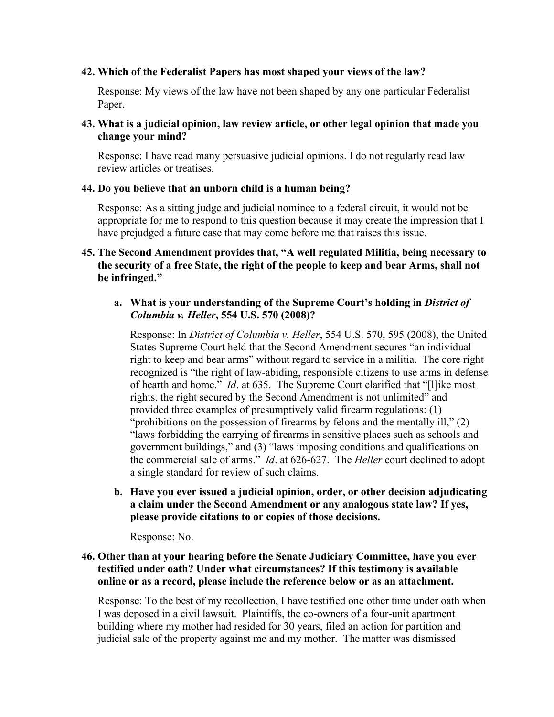### **42. Which of the Federalist Papers has most shaped your views of the law?**

Response: My views of the law have not been shaped by any one particular Federalist Paper.

### **43. What is a judicial opinion, law review article, or other legal opinion that made you change your mind?**

Response: I have read many persuasive judicial opinions. I do not regularly read law review articles or treatises.

### **44. Do you believe that an unborn child is a human being?**

Response: As a sitting judge and judicial nominee to a federal circuit, it would not be appropriate for me to respond to this question because it may create the impression that I have prejudged a future case that may come before me that raises this issue.

# **45. The Second Amendment provides that, "A well regulated Militia, being necessary to the security of a free State, the right of the people to keep and bear Arms, shall not be infringed."**

### **a. What is your understanding of the Supreme Court's holding in** *District of Columbia v. Heller***, 554 U.S. 570 (2008)?**

Response: In *District of Columbia v. Heller*, 554 U.S. 570, 595 (2008), the United States Supreme Court held that the Second Amendment secures "an individual right to keep and bear arms" without regard to service in a militia. The core right recognized is "the right of law-abiding, responsible citizens to use arms in defense of hearth and home." *Id*. at 635. The Supreme Court clarified that "[l]ike most rights, the right secured by the Second Amendment is not unlimited" and provided three examples of presumptively valid firearm regulations: (1) "prohibitions on the possession of firearms by felons and the mentally ill," (2) "laws forbidding the carrying of firearms in sensitive places such as schools and government buildings," and (3) "laws imposing conditions and qualifications on the commercial sale of arms." *Id*. at 626-627. The *Heller* court declined to adopt a single standard for review of such claims.

**b. Have you ever issued a judicial opinion, order, or other decision adjudicating a claim under the Second Amendment or any analogous state law? If yes, please provide citations to or copies of those decisions.**

Response: No.

### **46. Other than at your hearing before the Senate Judiciary Committee, have you ever testified under oath? Under what circumstances? If this testimony is available online or as a record, please include the reference below or as an attachment.**

Response: To the best of my recollection, I have testified one other time under oath when I was deposed in a civil lawsuit. Plaintiffs, the co-owners of a four-unit apartment building where my mother had resided for 30 years, filed an action for partition and judicial sale of the property against me and my mother. The matter was dismissed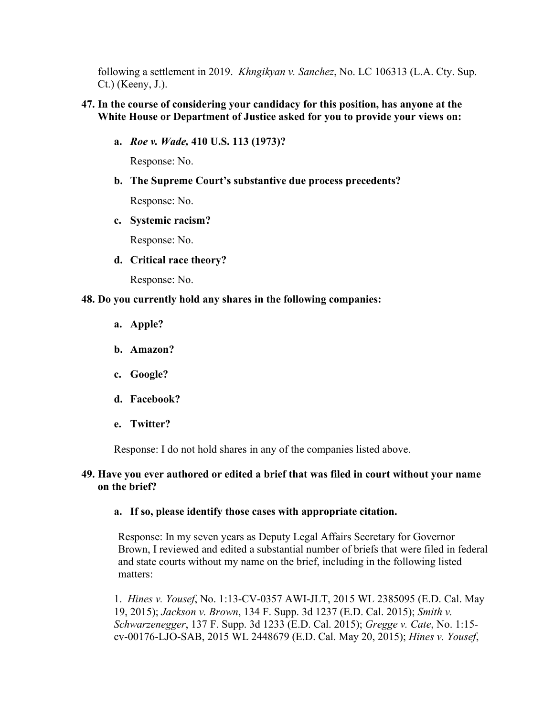following a settlement in 2019. *Khngikyan v. Sanchez*, No. LC 106313 (L.A. Cty. Sup. Ct.) (Keeny, J.).

### **47. In the course of considering your candidacy for this position, has anyone at the White House or Department of Justice asked for you to provide your views on:**

**a.** *Roe v. Wade,* **410 U.S. 113 (1973)?**

Response: No.

**b. The Supreme Court's substantive due process precedents?**

Response: No.

**c. Systemic racism?**

Response: No.

**d. Critical race theory?**

Response: No.

### **48. Do you currently hold any shares in the following companies:**

- **a. Apple?**
- **b. Amazon?**
- **c. Google?**
- **d. Facebook?**
- **e. Twitter?**

Response: I do not hold shares in any of the companies listed above.

### **49. Have you ever authored or edited a brief that was filed in court without your name on the brief?**

### **a. If so, please identify those cases with appropriate citation.**

Response: In my seven years as Deputy Legal Affairs Secretary for Governor Brown, I reviewed and edited a substantial number of briefs that were filed in federal and state courts without my name on the brief, including in the following listed matters:

1. *Hines v. Yousef*, No. 1:13-CV-0357 AWI-JLT, 2015 WL 2385095 (E.D. Cal. May 19, 2015); *Jackson v. Brown*, 134 F. Supp. 3d 1237 (E.D. Cal. 2015); *Smith v. Schwarzenegger*, 137 F. Supp. 3d 1233 (E.D. Cal. 2015); *Gregge v. Cate*, No. 1:15 cv-00176-LJO-SAB, 2015 WL 2448679 (E.D. Cal. May 20, 2015); *Hines v. Yousef*,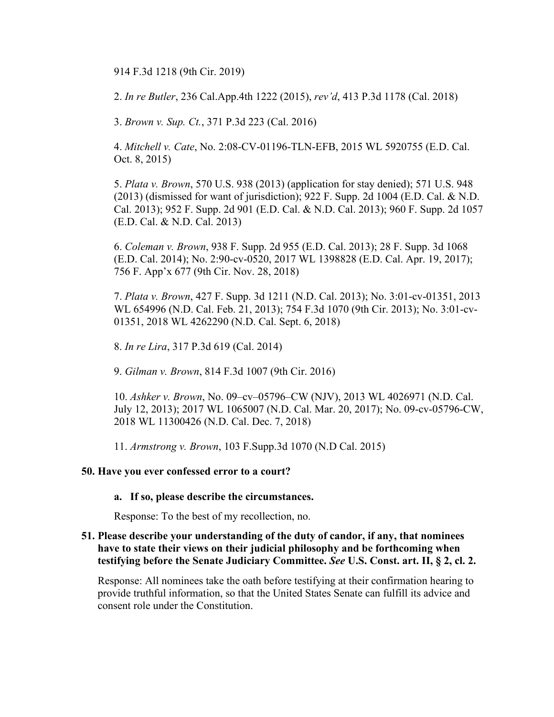914 F.3d 1218 (9th Cir. 2019)

2. *In re Butler*, 236 Cal.App.4th 1222 (2015), *rev'd*, 413 P.3d 1178 (Cal. 2018)

3. *Brown v. Sup. Ct.*, 371 P.3d 223 (Cal. 2016)

4. *Mitchell v. Cate*, No. 2:08-CV-01196-TLN-EFB, 2015 WL 5920755 (E.D. Cal. Oct. 8, 2015)

5. *Plata v. Brown*, 570 U.S. 938 (2013) (application for stay denied); 571 U.S. 948 (2013) (dismissed for want of jurisdiction); 922 F. Supp. 2d 1004 (E.D. Cal. & N.D. Cal. 2013); 952 F. Supp. 2d 901 (E.D. Cal. & N.D. Cal. 2013); 960 F. Supp. 2d 1057 (E.D. Cal. & N.D. Cal. 2013)

6. *Coleman v. Brown*, 938 F. Supp. 2d 955 (E.D. Cal. 2013); 28 F. Supp. 3d 1068 (E.D. Cal. 2014); No. 2:90-cv-0520, 2017 WL 1398828 (E.D. Cal. Apr. 19, 2017); 756 F. App'x 677 (9th Cir. Nov. 28, 2018)

7. *Plata v. Brown*, 427 F. Supp. 3d 1211 (N.D. Cal. 2013); No. 3:01-cv-01351, 2013 WL 654996 (N.D. Cal. Feb. 21, 2013); 754 F.3d 1070 (9th Cir. 2013); No. 3:01-cv-01351, 2018 WL 4262290 (N.D. Cal. Sept. 6, 2018)

8. *In re Lira*, 317 P.3d 619 (Cal. 2014)

9. *Gilman v. Brown*, 814 F.3d 1007 (9th Cir. 2016)

10. *Ashker v. Brown*, No. 09–cv–05796–CW (NJV), 2013 WL 4026971 (N.D. Cal. July 12, 2013); 2017 WL 1065007 (N.D. Cal. Mar. 20, 2017); No. 09-cv-05796-CW, 2018 WL 11300426 (N.D. Cal. Dec. 7, 2018)

11. *Armstrong v. Brown*, 103 F.Supp.3d 1070 (N.D Cal. 2015)

### **50. Have you ever confessed error to a court?**

### **a. If so, please describe the circumstances.**

Response: To the best of my recollection, no.

### **51. Please describe your understanding of the duty of candor, if any, that nominees have to state their views on their judicial philosophy and be forthcoming when testifying before the Senate Judiciary Committee.** *See* **U.S. Const. art. II, § 2, cl. 2.**

Response: All nominees take the oath before testifying at their confirmation hearing to provide truthful information, so that the United States Senate can fulfill its advice and consent role under the Constitution.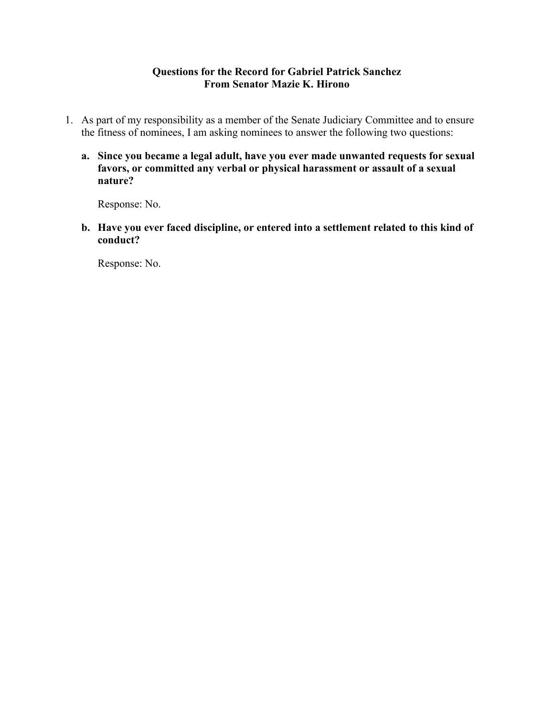### **Questions for the Record for Gabriel Patrick Sanchez From Senator Mazie K. Hirono**

- 1. As part of my responsibility as a member of the Senate Judiciary Committee and to ensure the fitness of nominees, I am asking nominees to answer the following two questions:
	- **a. Since you became a legal adult, have you ever made unwanted requests for sexual favors, or committed any verbal or physical harassment or assault of a sexual nature?**

Response: No.

**b. Have you ever faced discipline, or entered into a settlement related to this kind of conduct?** 

Response: No.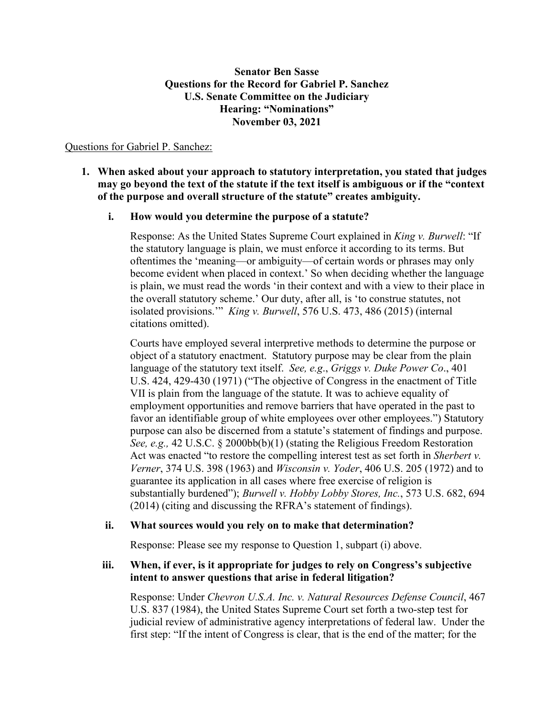### **Senator Ben Sasse Questions for the Record for Gabriel P. Sanchez U.S. Senate Committee on the Judiciary Hearing: "Nominations" November 03, 2021**

#### Questions for Gabriel P. Sanchez:

### **1. When asked about your approach to statutory interpretation, you stated that judges may go beyond the text of the statute if the text itself is ambiguous or if the "context of the purpose and overall structure of the statute" creates ambiguity.**

### **i. How would you determine the purpose of a statute?**

Response: As the United States Supreme Court explained in *King v. Burwell*: "If the statutory language is plain, we must enforce it according to its terms. But oftentimes the 'meaning—or ambiguity—of certain words or phrases may only become evident when placed in context.' So when deciding whether the language is plain, we must read the words 'in their context and with a view to their place in the overall statutory scheme.' Our duty, after all, is 'to construe statutes, not isolated provisions.'" *King v. Burwell*, 576 U.S. 473, 486 (2015) (internal citations omitted).

Courts have employed several interpretive methods to determine the purpose or object of a statutory enactment. Statutory purpose may be clear from the plain language of the statutory text itself. *See, e.g*., *Griggs v. Duke Power Co*., 401 U.S. 424, 429-430 (1971) ("The objective of Congress in the enactment of Title VII is plain from the language of the statute. It was to achieve equality of employment opportunities and remove barriers that have operated in the past to favor an identifiable group of white employees over other employees.") Statutory purpose can also be discerned from a statute's statement of findings and purpose. *See, e.g.,* 42 U.S.C. § 2000bb(b)(1) (stating the Religious Freedom Restoration Act was enacted "to restore the compelling interest test as set forth in *Sherbert v. Verner*, 374 U.S. 398 (1963) and *Wisconsin v. Yoder*, 406 U.S. 205 (1972) and to guarantee its application in all cases where free exercise of religion is substantially burdened"); *Burwell v. Hobby Lobby Stores, Inc.*, 573 U.S. 682, 694 (2014) (citing and discussing the RFRA's statement of findings).

### **ii. What sources would you rely on to make that determination?**

Response: Please see my response to Question 1, subpart (i) above.

### **iii. When, if ever, is it appropriate for judges to rely on Congress's subjective intent to answer questions that arise in federal litigation?**

Response: Under *Chevron U.S.A. Inc. v. Natural Resources Defense Council*, 467 U.S. 837 (1984), the United States Supreme Court set forth a two-step test for judicial review of administrative agency interpretations of federal law. Under the first step: "If the intent of Congress is clear, that is the end of the matter; for the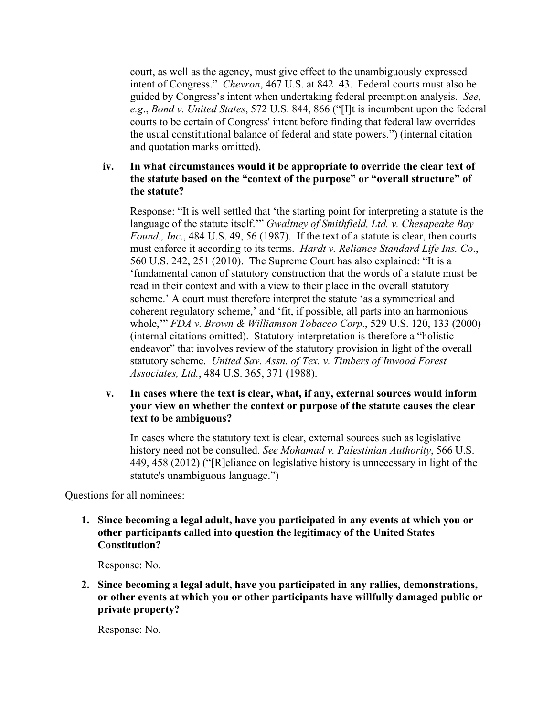court, as well as the agency, must give effect to the unambiguously expressed intent of Congress." *Chevron*, 467 U.S. at 842–43. Federal courts must also be guided by Congress's intent when undertaking federal preemption analysis. *See*, *e.g*., *Bond v. United States*, 572 U.S. 844, 866 ("[I]t is incumbent upon the federal courts to be certain of Congress' intent before finding that federal law overrides the usual constitutional balance of federal and state powers.") (internal citation and quotation marks omitted).

### **iv. In what circumstances would it be appropriate to override the clear text of the statute based on the "context of the purpose" or "overall structure" of the statute?**

Response: "It is well settled that 'the starting point for interpreting a statute is the language of the statute itself.'" *Gwaltney of Smithfield, Ltd. v. Chesapeake Bay Found., Inc*., 484 U.S. 49, 56 (1987). If the text of a statute is clear, then courts must enforce it according to its terms. *Hardt v. Reliance Standard Life Ins. Co*., 560 U.S. 242, 251 (2010). The Supreme Court has also explained: "It is a 'fundamental canon of statutory construction that the words of a statute must be read in their context and with a view to their place in the overall statutory scheme.' A court must therefore interpret the statute 'as a symmetrical and coherent regulatory scheme,' and 'fit, if possible, all parts into an harmonious whole,'" *FDA v. Brown & Williamson Tobacco Corp*., 529 U.S. 120, 133 (2000) (internal citations omitted). Statutory interpretation is therefore a "holistic endeavor" that involves review of the statutory provision in light of the overall statutory scheme. *United Sav. Assn. of Tex. v. Timbers of Inwood Forest Associates, Ltd.*, 484 U.S. 365, 371 (1988).

## **v. In cases where the text is clear, what, if any, external sources would inform your view on whether the context or purpose of the statute causes the clear text to be ambiguous?**

In cases where the statutory text is clear, external sources such as legislative history need not be consulted. *See Mohamad v. Palestinian Authority*, 566 U.S. 449, 458 (2012) ("[R]eliance on legislative history is unnecessary in light of the statute's unambiguous language.")

Questions for all nominees:

**1. Since becoming a legal adult, have you participated in any events at which you or other participants called into question the legitimacy of the United States Constitution?**

Response: No.

**2. Since becoming a legal adult, have you participated in any rallies, demonstrations, or other events at which you or other participants have willfully damaged public or private property?**

Response: No.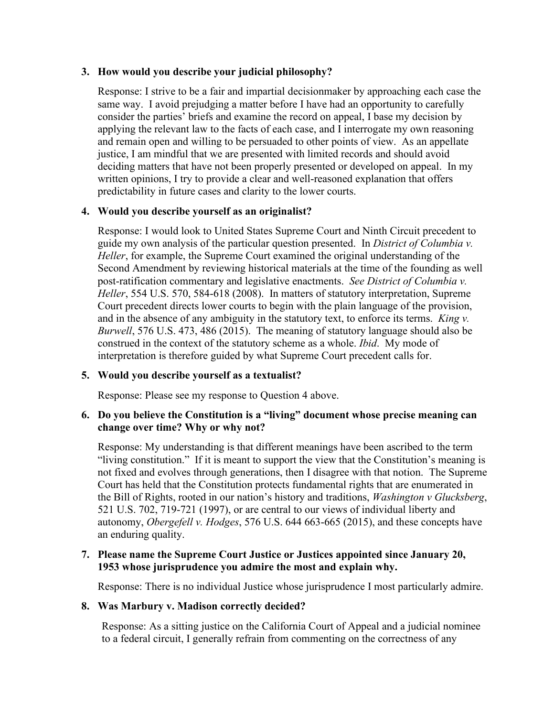### **3. How would you describe your judicial philosophy?**

Response: I strive to be a fair and impartial decisionmaker by approaching each case the same way. I avoid prejudging a matter before I have had an opportunity to carefully consider the parties' briefs and examine the record on appeal, I base my decision by applying the relevant law to the facts of each case, and I interrogate my own reasoning and remain open and willing to be persuaded to other points of view. As an appellate justice, I am mindful that we are presented with limited records and should avoid deciding matters that have not been properly presented or developed on appeal. In my written opinions, I try to provide a clear and well-reasoned explanation that offers predictability in future cases and clarity to the lower courts.

# **4. Would you describe yourself as an originalist?**

Response: I would look to United States Supreme Court and Ninth Circuit precedent to guide my own analysis of the particular question presented. In *District of Columbia v. Heller*, for example, the Supreme Court examined the original understanding of the Second Amendment by reviewing historical materials at the time of the founding as well post-ratification commentary and legislative enactments. *See District of Columbia v. Heller*, 554 U.S. 570, 584-618 (2008). In matters of statutory interpretation, Supreme Court precedent directs lower courts to begin with the plain language of the provision, and in the absence of any ambiguity in the statutory text, to enforce its terms. *King v. Burwell*, 576 U.S. 473, 486 (2015). The meaning of statutory language should also be construed in the context of the statutory scheme as a whole. *Ibid*. My mode of interpretation is therefore guided by what Supreme Court precedent calls for.

# **5. Would you describe yourself as a textualist?**

Response: Please see my response to Question 4 above.

### **6. Do you believe the Constitution is a "living" document whose precise meaning can change over time? Why or why not?**

Response: My understanding is that different meanings have been ascribed to the term "living constitution." If it is meant to support the view that the Constitution's meaning is not fixed and evolves through generations, then I disagree with that notion. The Supreme Court has held that the Constitution protects fundamental rights that are enumerated in the Bill of Rights, rooted in our nation's history and traditions, *Washington v Glucksberg*, 521 U.S. 702, 719-721 (1997), or are central to our views of individual liberty and autonomy, *Obergefell v. Hodges*, 576 U.S. 644 663-665 (2015), and these concepts have an enduring quality.

### **7. Please name the Supreme Court Justice or Justices appointed since January 20, 1953 whose jurisprudence you admire the most and explain why.**

Response: There is no individual Justice whose jurisprudence I most particularly admire.

### **8. Was Marbury v. Madison correctly decided?**

Response: As a sitting justice on the California Court of Appeal and a judicial nominee to a federal circuit, I generally refrain from commenting on the correctness of any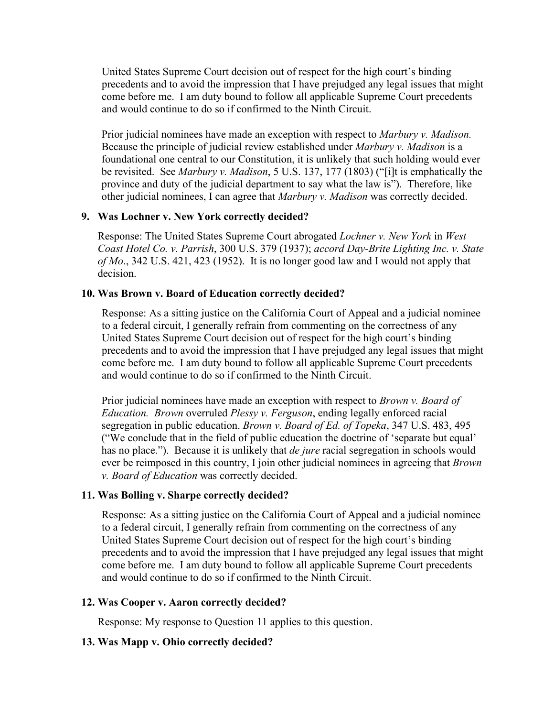United States Supreme Court decision out of respect for the high court's binding precedents and to avoid the impression that I have prejudged any legal issues that might come before me. I am duty bound to follow all applicable Supreme Court precedents and would continue to do so if confirmed to the Ninth Circuit.

Prior judicial nominees have made an exception with respect to *Marbury v. Madison.*  Because the principle of judicial review established under *Marbury v. Madison* is a foundational one central to our Constitution, it is unlikely that such holding would ever be revisited. See *Marbury v. Madison*, 5 U.S. 137, 177 (1803) ("[i]t is emphatically the province and duty of the judicial department to say what the law is"). Therefore, like other judicial nominees, I can agree that *Marbury v. Madison* was correctly decided.

#### **9. Was Lochner v. New York correctly decided?**

Response: The United States Supreme Court abrogated *Lochner v. New York* in *West Coast Hotel Co. v. Parrish*, 300 U.S. 379 (1937); *accord Day-Brite Lighting Inc. v. State of Mo*., 342 U.S. 421, 423 (1952). It is no longer good law and I would not apply that decision.

#### **10. Was Brown v. Board of Education correctly decided?**

Response: As a sitting justice on the California Court of Appeal and a judicial nominee to a federal circuit, I generally refrain from commenting on the correctness of any United States Supreme Court decision out of respect for the high court's binding precedents and to avoid the impression that I have prejudged any legal issues that might come before me. I am duty bound to follow all applicable Supreme Court precedents and would continue to do so if confirmed to the Ninth Circuit.

Prior judicial nominees have made an exception with respect to *Brown v. Board of Education. Brown* overruled *Plessy v. Ferguson*, ending legally enforced racial segregation in public education. *Brown v. Board of Ed. of Topeka*, 347 U.S. 483, 495 ("We conclude that in the field of public education the doctrine of 'separate but equal' has no place."). Because it is unlikely that *de jure* racial segregation in schools would ever be reimposed in this country, I join other judicial nominees in agreeing that *Brown v. Board of Education* was correctly decided.

#### **11. Was Bolling v. Sharpe correctly decided?**

Response: As a sitting justice on the California Court of Appeal and a judicial nominee to a federal circuit, I generally refrain from commenting on the correctness of any United States Supreme Court decision out of respect for the high court's binding precedents and to avoid the impression that I have prejudged any legal issues that might come before me. I am duty bound to follow all applicable Supreme Court precedents and would continue to do so if confirmed to the Ninth Circuit.

#### **12. Was Cooper v. Aaron correctly decided?**

Response: My response to Question 11 applies to this question.

### **13. Was Mapp v. Ohio correctly decided?**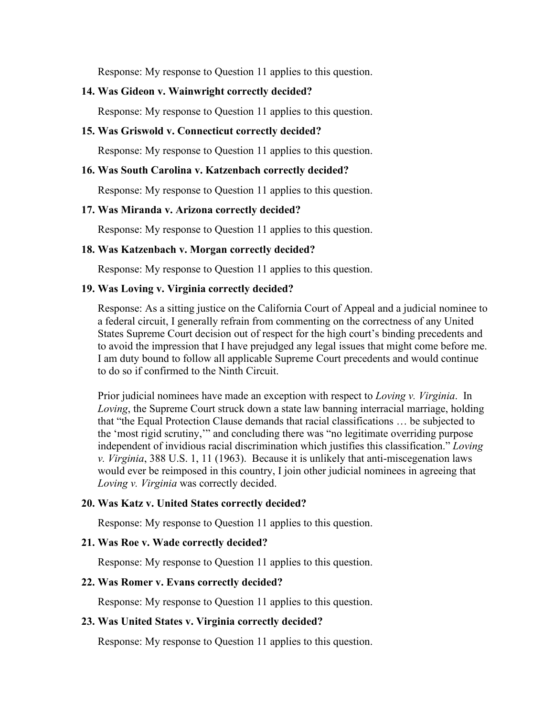Response: My response to Question 11 applies to this question.

#### **14. Was Gideon v. Wainwright correctly decided?**

Response: My response to Question 11 applies to this question.

#### **15. Was Griswold v. Connecticut correctly decided?**

Response: My response to Question 11 applies to this question.

#### **16. Was South Carolina v. Katzenbach correctly decided?**

Response: My response to Question 11 applies to this question.

#### **17. Was Miranda v. Arizona correctly decided?**

Response: My response to Question 11 applies to this question.

#### **18. Was Katzenbach v. Morgan correctly decided?**

Response: My response to Question 11 applies to this question.

#### **19. Was Loving v. Virginia correctly decided?**

Response: As a sitting justice on the California Court of Appeal and a judicial nominee to a federal circuit, I generally refrain from commenting on the correctness of any United States Supreme Court decision out of respect for the high court's binding precedents and to avoid the impression that I have prejudged any legal issues that might come before me. I am duty bound to follow all applicable Supreme Court precedents and would continue to do so if confirmed to the Ninth Circuit.

Prior judicial nominees have made an exception with respect to *Loving v. Virginia*. In *Loving*, the Supreme Court struck down a state law banning interracial marriage, holding that "the Equal Protection Clause demands that racial classifications … be subjected to the 'most rigid scrutiny,'" and concluding there was "no legitimate overriding purpose independent of invidious racial discrimination which justifies this classification." *Loving v. Virginia*, 388 U.S. 1, 11 (1963). Because it is unlikely that anti-miscegenation laws would ever be reimposed in this country, I join other judicial nominees in agreeing that *Loving v. Virginia* was correctly decided.

#### **20. Was Katz v. United States correctly decided?**

Response: My response to Question 11 applies to this question.

#### **21. Was Roe v. Wade correctly decided?**

Response: My response to Question 11 applies to this question.

#### **22. Was Romer v. Evans correctly decided?**

Response: My response to Question 11 applies to this question.

#### **23. Was United States v. Virginia correctly decided?**

Response: My response to Question 11 applies to this question.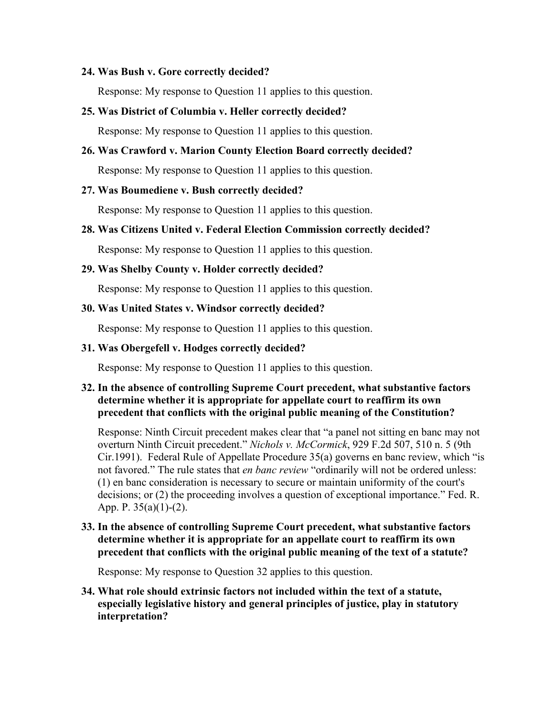#### **24. Was Bush v. Gore correctly decided?**

Response: My response to Question 11 applies to this question.

#### **25. Was District of Columbia v. Heller correctly decided?**

Response: My response to Question 11 applies to this question.

#### **26. Was Crawford v. Marion County Election Board correctly decided?**

Response: My response to Question 11 applies to this question.

#### **27. Was Boumediene v. Bush correctly decided?**

Response: My response to Question 11 applies to this question.

#### **28. Was Citizens United v. Federal Election Commission correctly decided?**

Response: My response to Question 11 applies to this question.

#### **29. Was Shelby County v. Holder correctly decided?**

Response: My response to Question 11 applies to this question.

#### **30. Was United States v. Windsor correctly decided?**

Response: My response to Question 11 applies to this question.

#### **31. Was Obergefell v. Hodges correctly decided?**

Response: My response to Question 11 applies to this question.

## **32. In the absence of controlling Supreme Court precedent, what substantive factors determine whether it is appropriate for appellate court to reaffirm its own precedent that conflicts with the original public meaning of the Constitution?**

Response: Ninth Circuit precedent makes clear that "a panel not sitting en banc may not overturn Ninth Circuit precedent." *Nichols v. McCormick*, 929 F.2d 507, 510 n. 5 (9th Cir.1991). Federal Rule of Appellate Procedure 35(a) governs en banc review, which "is not favored." The rule states that *en banc review* "ordinarily will not be ordered unless: (1) en banc consideration is necessary to secure or maintain uniformity of the court's decisions; or (2) the proceeding involves a question of exceptional importance." Fed. R. App. P. 35(a)(1)-(2).

### **33. In the absence of controlling Supreme Court precedent, what substantive factors determine whether it is appropriate for an appellate court to reaffirm its own precedent that conflicts with the original public meaning of the text of a statute?**

Response: My response to Question 32 applies to this question.

**34. What role should extrinsic factors not included within the text of a statute, especially legislative history and general principles of justice, play in statutory interpretation?**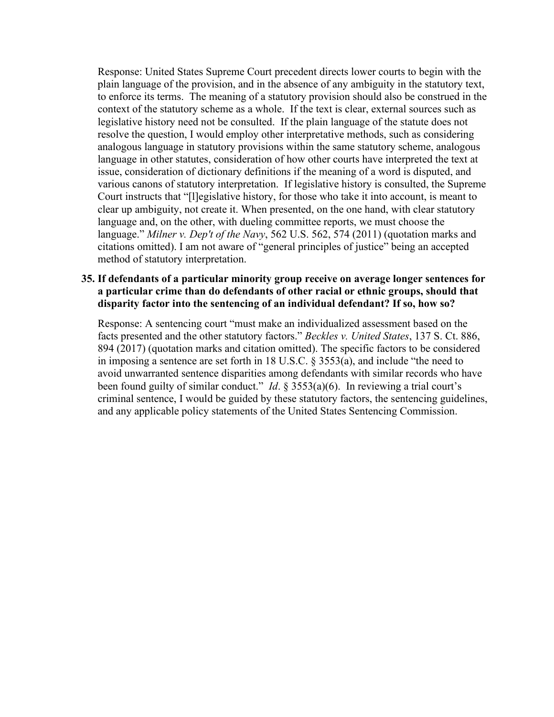Response: United States Supreme Court precedent directs lower courts to begin with the plain language of the provision, and in the absence of any ambiguity in the statutory text, to enforce its terms. The meaning of a statutory provision should also be construed in the context of the statutory scheme as a whole. If the text is clear, external sources such as legislative history need not be consulted. If the plain language of the statute does not resolve the question, I would employ other interpretative methods, such as considering analogous language in statutory provisions within the same statutory scheme, analogous language in other statutes, consideration of how other courts have interpreted the text at issue, consideration of dictionary definitions if the meaning of a word is disputed, and various canons of statutory interpretation. If legislative history is consulted, the Supreme Court instructs that "[l]egislative history, for those who take it into account, is meant to clear up ambiguity, not create it. When presented, on the one hand, with clear statutory language and, on the other, with dueling committee reports, we must choose the language." *Milner v. Dep't of the Navy*, 562 U.S. 562, 574 (2011) (quotation marks and citations omitted). I am not aware of "general principles of justice" being an accepted method of statutory interpretation.

### **35. If defendants of a particular minority group receive on average longer sentences for a particular crime than do defendants of other racial or ethnic groups, should that disparity factor into the sentencing of an individual defendant? If so, how so?**

Response: A sentencing court "must make an individualized assessment based on the facts presented and the other statutory factors." *Beckles v. United States*, 137 S. Ct. 886, 894 (2017) (quotation marks and citation omitted). The specific factors to be considered in imposing a sentence are set forth in 18 U.S.C. § 3553(a), and include "the need to avoid unwarranted sentence disparities among defendants with similar records who have been found guilty of similar conduct." *Id*. § 3553(a)(6). In reviewing a trial court's criminal sentence, I would be guided by these statutory factors, the sentencing guidelines, and any applicable policy statements of the United States Sentencing Commission.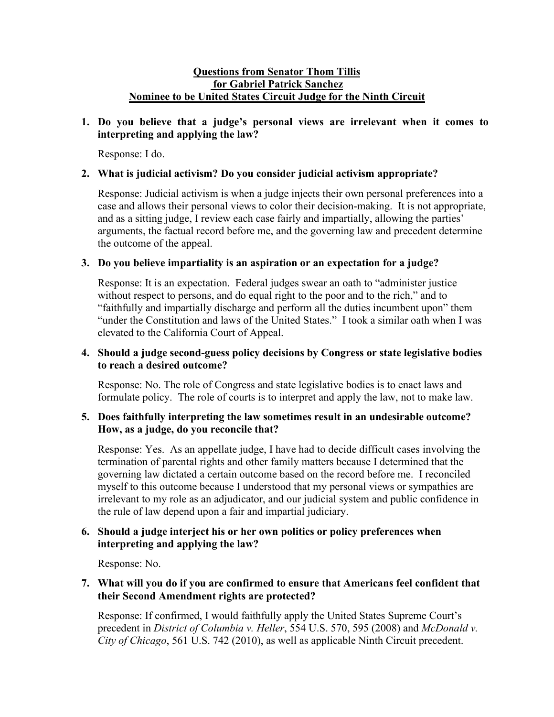# **Questions from Senator Thom Tillis for Gabriel Patrick Sanchez Nominee to be United States Circuit Judge for the Ninth Circuit**

**1. Do you believe that a judge's personal views are irrelevant when it comes to interpreting and applying the law?** 

Response: I do.

# **2. What is judicial activism? Do you consider judicial activism appropriate?**

Response: Judicial activism is when a judge injects their own personal preferences into a case and allows their personal views to color their decision-making. It is not appropriate, and as a sitting judge, I review each case fairly and impartially, allowing the parties' arguments, the factual record before me, and the governing law and precedent determine the outcome of the appeal.

# **3. Do you believe impartiality is an aspiration or an expectation for a judge?**

Response: It is an expectation. Federal judges swear an oath to "administer justice without respect to persons, and do equal right to the poor and to the rich," and to "faithfully and impartially discharge and perform all the duties incumbent upon" them "under the Constitution and laws of the United States." I took a similar oath when I was elevated to the California Court of Appeal.

## **4. Should a judge second-guess policy decisions by Congress or state legislative bodies to reach a desired outcome?**

Response: No. The role of Congress and state legislative bodies is to enact laws and formulate policy. The role of courts is to interpret and apply the law, not to make law.

### **5. Does faithfully interpreting the law sometimes result in an undesirable outcome? How, as a judge, do you reconcile that?**

Response: Yes. As an appellate judge, I have had to decide difficult cases involving the termination of parental rights and other family matters because I determined that the governing law dictated a certain outcome based on the record before me. I reconciled myself to this outcome because I understood that my personal views or sympathies are irrelevant to my role as an adjudicator, and our judicial system and public confidence in the rule of law depend upon a fair and impartial judiciary.

### **6. Should a judge interject his or her own politics or policy preferences when interpreting and applying the law?**

Response: No.

**7. What will you do if you are confirmed to ensure that Americans feel confident that their Second Amendment rights are protected?**

Response: If confirmed, I would faithfully apply the United States Supreme Court's precedent in *District of Columbia v. Heller*, 554 U.S. 570, 595 (2008) and *McDonald v. City of Chicago*, 561 U.S. 742 (2010), as well as applicable Ninth Circuit precedent.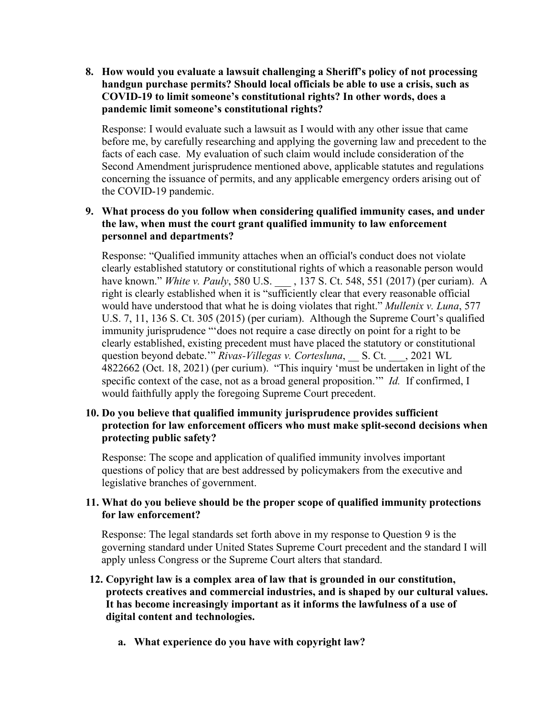**8. How would you evaluate a lawsuit challenging a Sheriff's policy of not processing handgun purchase permits? Should local officials be able to use a crisis, such as COVID-19 to limit someone's constitutional rights? In other words, does a pandemic limit someone's constitutional rights?**

Response: I would evaluate such a lawsuit as I would with any other issue that came before me, by carefully researching and applying the governing law and precedent to the facts of each case. My evaluation of such claim would include consideration of the Second Amendment jurisprudence mentioned above, applicable statutes and regulations concerning the issuance of permits, and any applicable emergency orders arising out of the COVID-19 pandemic.

# **9. What process do you follow when considering qualified immunity cases, and under the law, when must the court grant qualified immunity to law enforcement personnel and departments?**

Response: "Qualified immunity attaches when an official's conduct does not violate clearly established statutory or constitutional rights of which a reasonable person would have known." *White v. Pauly*, 580 U.S. \_\_\_ , 137 S. Ct. 548, 551 (2017) (per curiam). A right is clearly established when it is "sufficiently clear that every reasonable official would have understood that what he is doing violates that right." *Mullenix v. Luna*, 577 U.S. 7, 11, 136 S. Ct. 305 (2015) (per curiam). Although the Supreme Court's qualified immunity jurisprudence "'does not require a case directly on point for a right to be clearly established, existing precedent must have placed the statutory or constitutional question beyond debate.'" *Rivas-Villegas v. Cortesluna*, S. Ct. , 2021 WL 4822662 (Oct. 18, 2021) (per curium). "This inquiry 'must be undertaken in light of the specific context of the case, not as a broad general proposition.'" *Id.* If confirmed, I would faithfully apply the foregoing Supreme Court precedent.

## **10. Do you believe that qualified immunity jurisprudence provides sufficient protection for law enforcement officers who must make split-second decisions when protecting public safety?**

Response: The scope and application of qualified immunity involves important questions of policy that are best addressed by policymakers from the executive and legislative branches of government.

# **11. What do you believe should be the proper scope of qualified immunity protections for law enforcement?**

Response: The legal standards set forth above in my response to Question 9 is the governing standard under United States Supreme Court precedent and the standard I will apply unless Congress or the Supreme Court alters that standard.

### **12. Copyright law is a complex area of law that is grounded in our constitution, protects creatives and commercial industries, and is shaped by our cultural values. It has become increasingly important as it informs the lawfulness of a use of digital content and technologies.**

**a. What experience do you have with copyright law?**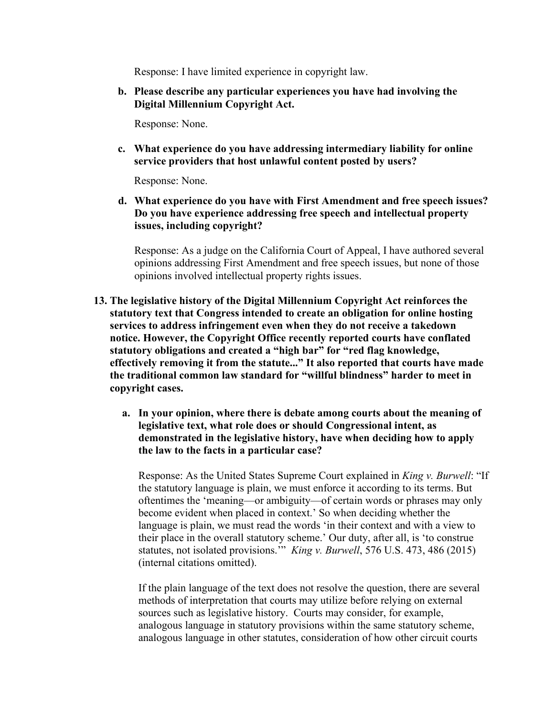Response: I have limited experience in copyright law.

**b. Please describe any particular experiences you have had involving the Digital Millennium Copyright Act.** 

Response: None.

**c. What experience do you have addressing intermediary liability for online service providers that host unlawful content posted by users?**

Response: None.

**d. What experience do you have with First Amendment and free speech issues? Do you have experience addressing free speech and intellectual property issues, including copyright?**

Response: As a judge on the California Court of Appeal, I have authored several opinions addressing First Amendment and free speech issues, but none of those opinions involved intellectual property rights issues.

- **13. The legislative history of the Digital Millennium Copyright Act reinforces the statutory text that Congress intended to create an obligation for online hosting services to address infringement even when they do not receive a takedown notice. However, the Copyright Office recently reported courts have conflated statutory obligations and created a "high bar" for "red flag knowledge, effectively removing it from the statute..." It also reported that courts have made the traditional common law standard for "willful blindness" harder to meet in copyright cases.**
	- **a. In your opinion, where there is debate among courts about the meaning of legislative text, what role does or should Congressional intent, as demonstrated in the legislative history, have when deciding how to apply the law to the facts in a particular case?**

Response: As the United States Supreme Court explained in *King v. Burwell*: "If the statutory language is plain, we must enforce it according to its terms. But oftentimes the 'meaning—or ambiguity—of certain words or phrases may only become evident when placed in context.' So when deciding whether the language is plain, we must read the words 'in their context and with a view to their place in the overall statutory scheme.' Our duty, after all, is 'to construe statutes, not isolated provisions.'" *King v. Burwell*, 576 U.S. 473, 486 (2015) (internal citations omitted).

If the plain language of the text does not resolve the question, there are several methods of interpretation that courts may utilize before relying on external sources such as legislative history. Courts may consider, for example, analogous language in statutory provisions within the same statutory scheme, analogous language in other statutes, consideration of how other circuit courts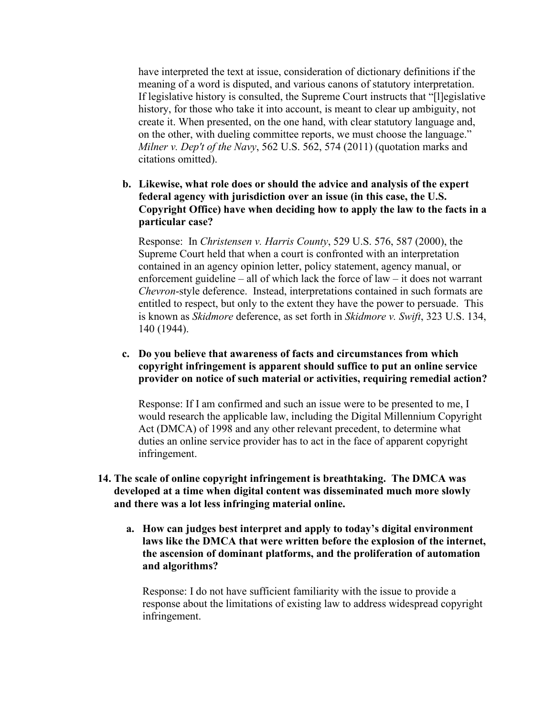have interpreted the text at issue, consideration of dictionary definitions if the meaning of a word is disputed, and various canons of statutory interpretation. If legislative history is consulted, the Supreme Court instructs that "[l]egislative history, for those who take it into account, is meant to clear up ambiguity, not create it. When presented, on the one hand, with clear statutory language and, on the other, with dueling committee reports, we must choose the language." *Milner v. Dep't of the Navy*, 562 U.S. 562, 574 (2011) (quotation marks and citations omitted).

**b. Likewise, what role does or should the advice and analysis of the expert federal agency with jurisdiction over an issue (in this case, the U.S. Copyright Office) have when deciding how to apply the law to the facts in a particular case?**

Response: In *Christensen v. Harris County*, 529 U.S. 576, 587 (2000), the Supreme Court held that when a court is confronted with an interpretation contained in an agency opinion letter, policy statement, agency manual, or enforcement guideline – all of which lack the force of law – it does not warrant *Chevron*-style deference. Instead, interpretations contained in such formats are entitled to respect, but only to the extent they have the power to persuade. This is known as *Skidmore* deference, as set forth in *Skidmore v. Swift*, 323 U.S. 134, 140 (1944).

### **c. Do you believe that awareness of facts and circumstances from which copyright infringement is apparent should suffice to put an online service provider on notice of such material or activities, requiring remedial action?**

Response: If I am confirmed and such an issue were to be presented to me, I would research the applicable law, including the Digital Millennium Copyright Act (DMCA) of 1998 and any other relevant precedent, to determine what duties an online service provider has to act in the face of apparent copyright infringement.

- **14. The scale of online copyright infringement is breathtaking. The DMCA was developed at a time when digital content was disseminated much more slowly and there was a lot less infringing material online.** 
	- **a. How can judges best interpret and apply to today's digital environment laws like the DMCA that were written before the explosion of the internet, the ascension of dominant platforms, and the proliferation of automation and algorithms?**

Response: I do not have sufficient familiarity with the issue to provide a response about the limitations of existing law to address widespread copyright infringement.